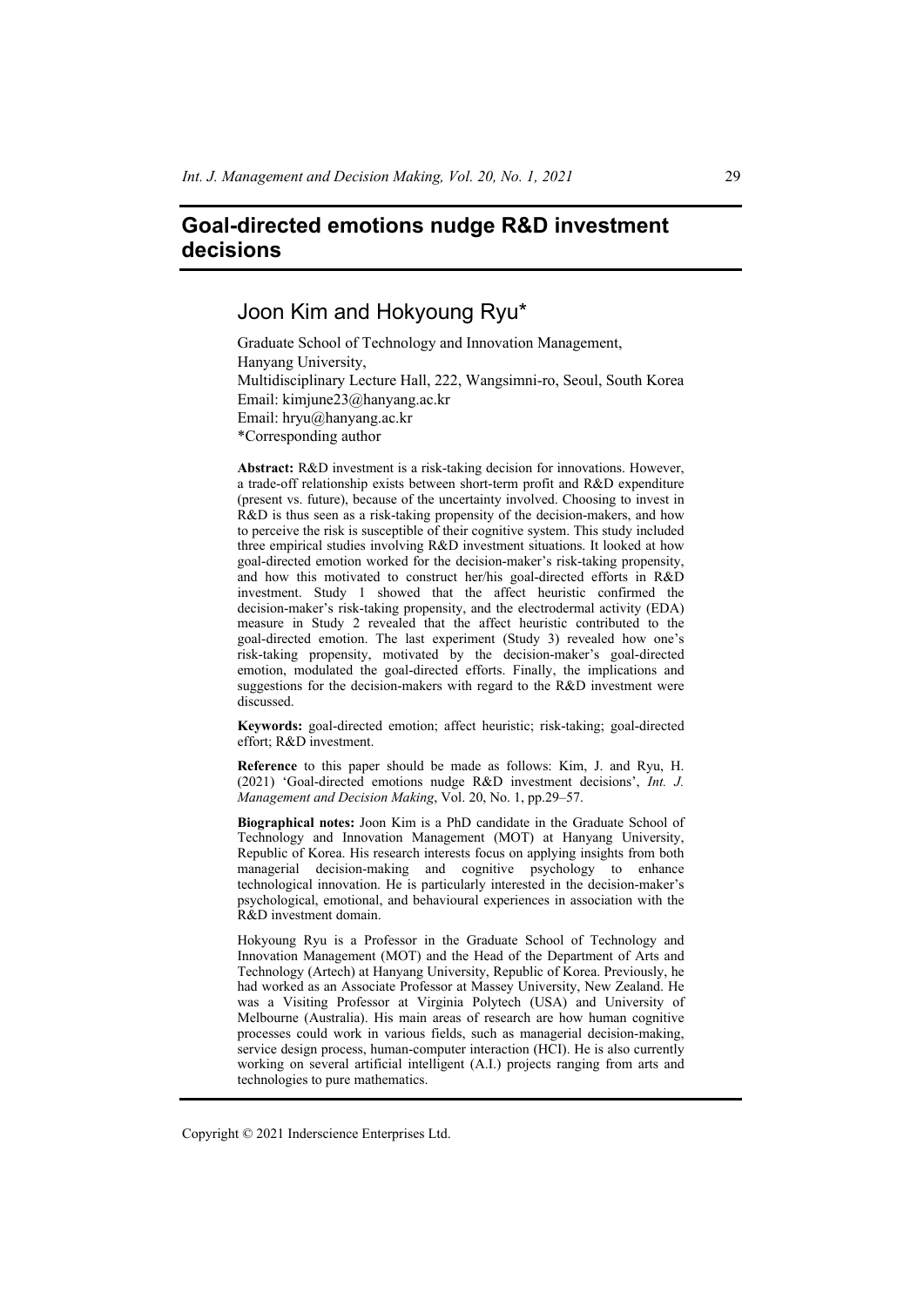# **Goal-directed emotions nudge R&D investment decisions**

# Joon Kim and Hokyoung Ryu\*

Graduate School of Technology and Innovation Management, Hanyang University, Multidisciplinary Lecture Hall, 222, Wangsimni-ro, Seoul, South Korea Email: kimjune23@hanyang.ac.kr Email: hryu@hanyang.ac.kr \*Corresponding author

**Abstract:** R&D investment is a risk-taking decision for innovations. However, a trade-off relationship exists between short-term profit and R&D expenditure (present vs. future), because of the uncertainty involved. Choosing to invest in R&D is thus seen as a risk-taking propensity of the decision-makers, and how to perceive the risk is susceptible of their cognitive system. This study included three empirical studies involving R&D investment situations. It looked at how goal-directed emotion worked for the decision-maker's risk-taking propensity, and how this motivated to construct her/his goal-directed efforts in R&D investment. Study 1 showed that the affect heuristic confirmed the decision-maker's risk-taking propensity, and the electrodermal activity (EDA) measure in Study 2 revealed that the affect heuristic contributed to the goal-directed emotion. The last experiment (Study 3) revealed how one's risk-taking propensity, motivated by the decision-maker's goal-directed emotion, modulated the goal-directed efforts. Finally, the implications and suggestions for the decision-makers with regard to the R&D investment were discussed.

**Keywords:** goal-directed emotion; affect heuristic; risk-taking; goal-directed effort; R&D investment.

**Reference** to this paper should be made as follows: Kim, J. and Ryu, H. (2021) 'Goal-directed emotions nudge R&D investment decisions', *Int. J. Management and Decision Making*, Vol. 20, No. 1, pp.29–57.

**Biographical notes:** Joon Kim is a PhD candidate in the Graduate School of Technology and Innovation Management (MOT) at Hanyang University, Republic of Korea. His research interests focus on applying insights from both managerial decision-making and cognitive psychology to enhance technological innovation. He is particularly interested in the decision-maker's psychological, emotional, and behavioural experiences in association with the R&D investment domain.

Hokyoung Ryu is a Professor in the Graduate School of Technology and Innovation Management (MOT) and the Head of the Department of Arts and Technology (Artech) at Hanyang University, Republic of Korea. Previously, he had worked as an Associate Professor at Massey University, New Zealand. He was a Visiting Professor at Virginia Polytech (USA) and University of Melbourne (Australia). His main areas of research are how human cognitive processes could work in various fields, such as managerial decision-making, service design process, human-computer interaction (HCI). He is also currently working on several artificial intelligent (A.I.) projects ranging from arts and technologies to pure mathematics.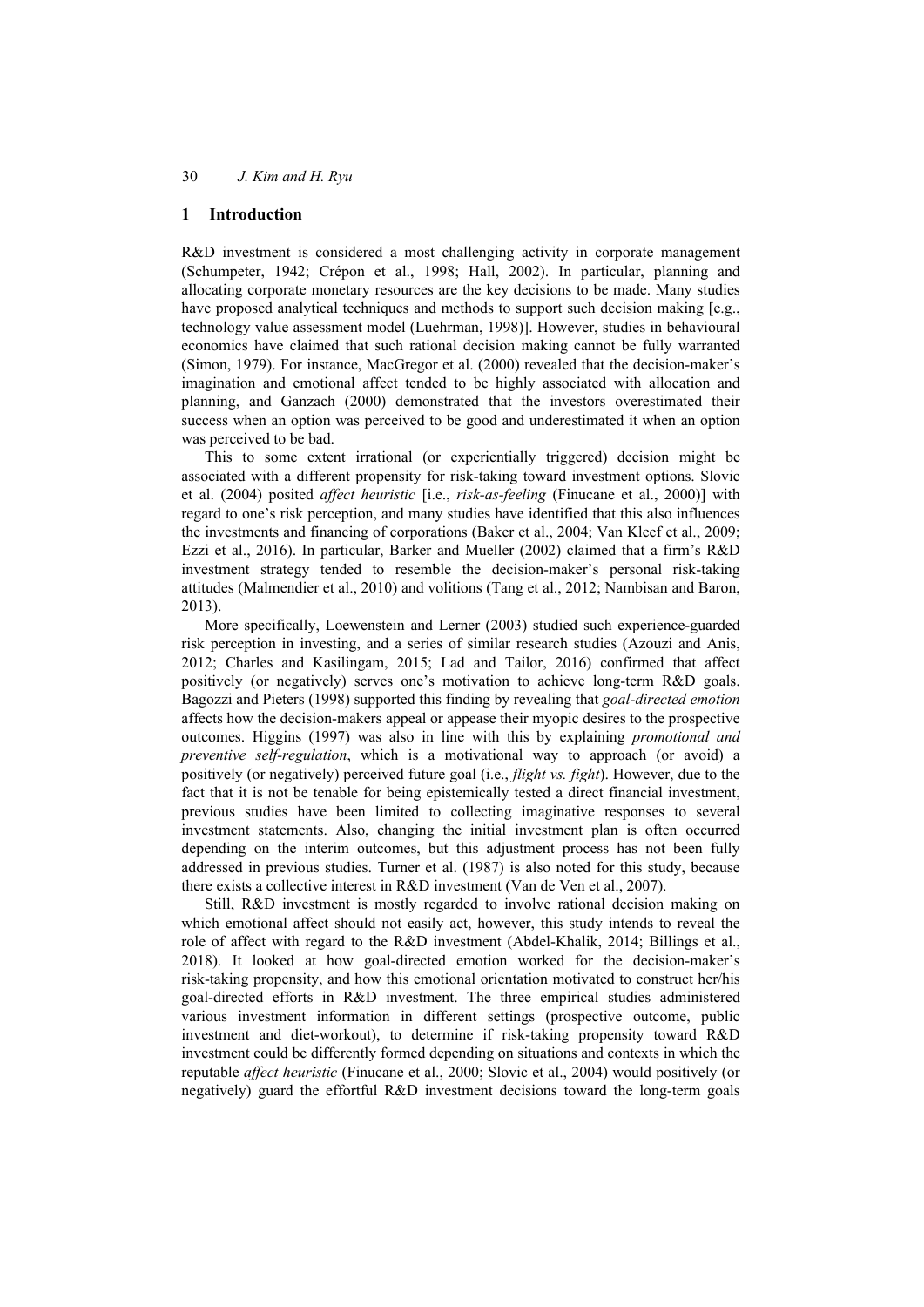## **1 Introduction**

R&D investment is considered a most challenging activity in corporate management (Schumpeter, 1942; Crépon et al., 1998; Hall, 2002). In particular, planning and allocating corporate monetary resources are the key decisions to be made. Many studies have proposed analytical techniques and methods to support such decision making [e.g., technology value assessment model (Luehrman, 1998)]. However, studies in behavioural economics have claimed that such rational decision making cannot be fully warranted (Simon, 1979). For instance, MacGregor et al. (2000) revealed that the decision-maker's imagination and emotional affect tended to be highly associated with allocation and planning, and Ganzach (2000) demonstrated that the investors overestimated their success when an option was perceived to be good and underestimated it when an option was perceived to be bad.

This to some extent irrational (or experientially triggered) decision might be associated with a different propensity for risk-taking toward investment options. Slovic et al. (2004) posited *affect heuristic* [i.e., *risk-as-feeling* (Finucane et al., 2000)] with regard to one's risk perception, and many studies have identified that this also influences the investments and financing of corporations (Baker et al., 2004; Van Kleef et al., 2009; Ezzi et al., 2016). In particular, Barker and Mueller (2002) claimed that a firm's R&D investment strategy tended to resemble the decision-maker's personal risk-taking attitudes (Malmendier et al., 2010) and volitions (Tang et al., 2012; Nambisan and Baron, 2013).

More specifically, Loewenstein and Lerner (2003) studied such experience-guarded risk perception in investing, and a series of similar research studies (Azouzi and Anis, 2012; Charles and Kasilingam, 2015; Lad and Tailor, 2016) confirmed that affect positively (or negatively) serves one's motivation to achieve long-term R&D goals. Bagozzi and Pieters (1998) supported this finding by revealing that *goal-directed emotion* affects how the decision-makers appeal or appease their myopic desires to the prospective outcomes. Higgins (1997) was also in line with this by explaining *promotional and preventive self-regulation*, which is a motivational way to approach (or avoid) a positively (or negatively) perceived future goal (i.e., *flight vs. fight*). However, due to the fact that it is not be tenable for being epistemically tested a direct financial investment, previous studies have been limited to collecting imaginative responses to several investment statements. Also, changing the initial investment plan is often occurred depending on the interim outcomes, but this adjustment process has not been fully addressed in previous studies. Turner et al. (1987) is also noted for this study, because there exists a collective interest in R&D investment (Van de Ven et al., 2007).

Still, R&D investment is mostly regarded to involve rational decision making on which emotional affect should not easily act, however, this study intends to reveal the role of affect with regard to the R&D investment (Abdel-Khalik, 2014; Billings et al., 2018). It looked at how goal-directed emotion worked for the decision-maker's risk-taking propensity, and how this emotional orientation motivated to construct her/his goal-directed efforts in R&D investment. The three empirical studies administered various investment information in different settings (prospective outcome, public investment and diet-workout), to determine if risk-taking propensity toward R&D investment could be differently formed depending on situations and contexts in which the reputable *affect heuristic* (Finucane et al., 2000; Slovic et al., 2004) would positively (or negatively) guard the effortful R&D investment decisions toward the long-term goals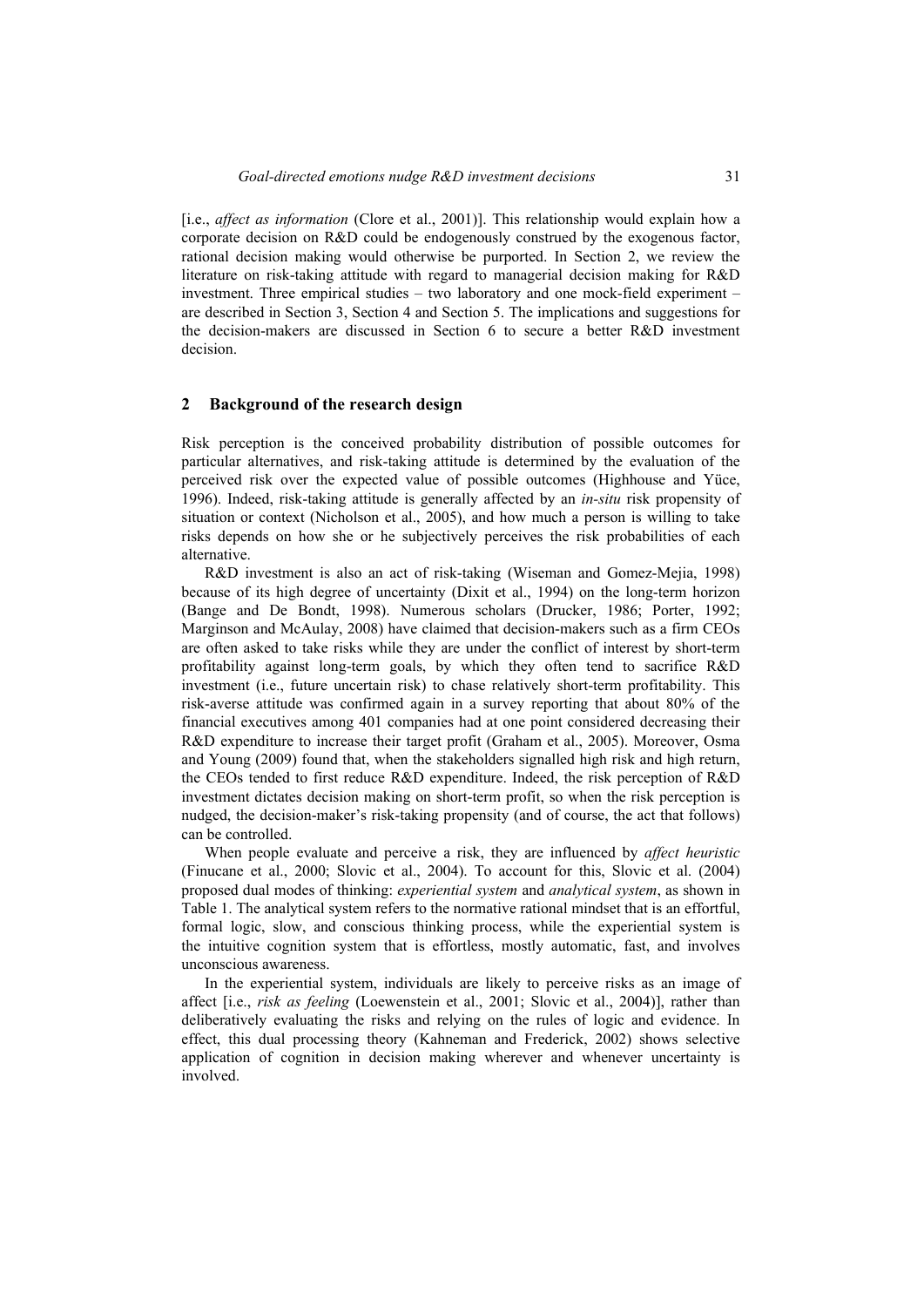[i.e., *affect as information* (Clore et al., 2001)]. This relationship would explain how a corporate decision on R&D could be endogenously construed by the exogenous factor, rational decision making would otherwise be purported. In Section 2, we review the literature on risk-taking attitude with regard to managerial decision making for R&D investment. Three empirical studies – two laboratory and one mock-field experiment – are described in Section 3, Section 4 and Section 5. The implications and suggestions for the decision-makers are discussed in Section 6 to secure a better R&D investment decision.

## **2 Background of the research design**

Risk perception is the conceived probability distribution of possible outcomes for particular alternatives, and risk-taking attitude is determined by the evaluation of the perceived risk over the expected value of possible outcomes (Highhouse and Yüce, 1996). Indeed, risk-taking attitude is generally affected by an *in-situ* risk propensity of situation or context (Nicholson et al., 2005), and how much a person is willing to take risks depends on how she or he subjectively perceives the risk probabilities of each alternative.

R&D investment is also an act of risk-taking (Wiseman and Gomez-Mejia, 1998) because of its high degree of uncertainty (Dixit et al., 1994) on the long-term horizon (Bange and De Bondt, 1998). Numerous scholars (Drucker, 1986; Porter, 1992; Marginson and McAulay, 2008) have claimed that decision-makers such as a firm CEOs are often asked to take risks while they are under the conflict of interest by short-term profitability against long-term goals, by which they often tend to sacrifice R&D investment (i.e., future uncertain risk) to chase relatively short-term profitability. This risk-averse attitude was confirmed again in a survey reporting that about 80% of the financial executives among 401 companies had at one point considered decreasing their R&D expenditure to increase their target profit (Graham et al., 2005). Moreover, Osma and Young (2009) found that, when the stakeholders signalled high risk and high return, the CEOs tended to first reduce R&D expenditure. Indeed, the risk perception of R&D investment dictates decision making on short-term profit, so when the risk perception is nudged, the decision-maker's risk-taking propensity (and of course, the act that follows) can be controlled.

When people evaluate and perceive a risk, they are influenced by *affect heuristic* (Finucane et al., 2000; Slovic et al., 2004). To account for this, Slovic et al. (2004) proposed dual modes of thinking: *experiential system* and *analytical system*, as shown in Table 1. The analytical system refers to the normative rational mindset that is an effortful, formal logic, slow, and conscious thinking process, while the experiential system is the intuitive cognition system that is effortless, mostly automatic, fast, and involves unconscious awareness.

In the experiential system, individuals are likely to perceive risks as an image of affect [i.e., *risk as feeling* (Loewenstein et al., 2001; Slovic et al., 2004)], rather than deliberatively evaluating the risks and relying on the rules of logic and evidence. In effect, this dual processing theory (Kahneman and Frederick, 2002) shows selective application of cognition in decision making wherever and whenever uncertainty is involved.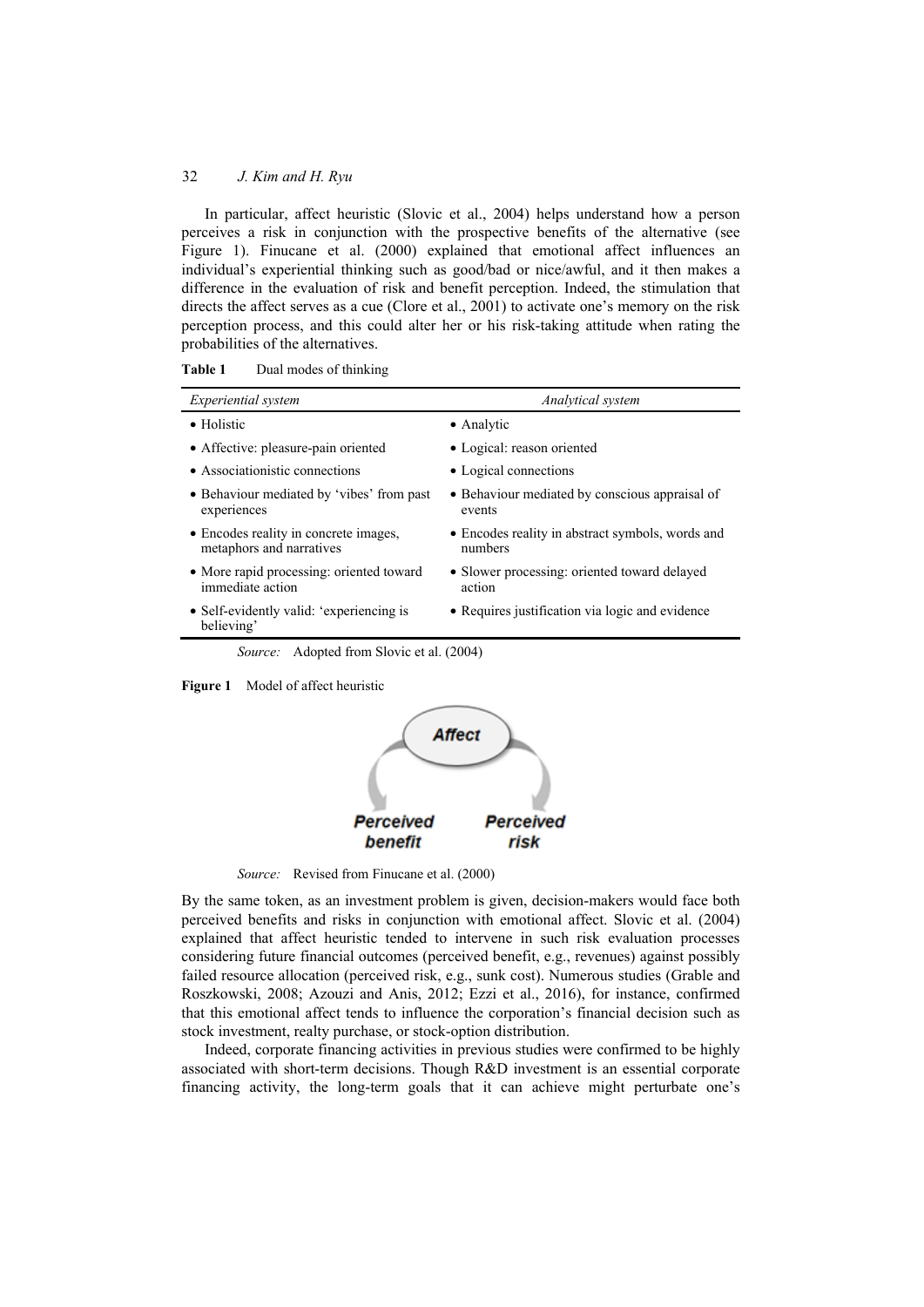## 32 *J. Kim and H. Ryu*

In particular, affect heuristic (Slovic et al., 2004) helps understand how a person perceives a risk in conjunction with the prospective benefits of the alternative (see Figure 1). Finucane et al. (2000) explained that emotional affect influences an individual's experiential thinking such as good/bad or nice/awful, and it then makes a difference in the evaluation of risk and benefit perception. Indeed, the stimulation that directs the affect serves as a cue (Clore et al., 2001) to activate one's memory on the risk perception process, and this could alter her or his risk-taking attitude when rating the probabilities of the alternatives.

| <i>Experiential system</i>                                        | Analytical system                                           |
|-------------------------------------------------------------------|-------------------------------------------------------------|
| • Holistic                                                        | • Analytic                                                  |
| • Affective: pleasure-pain oriented                               | • Logical: reason oriented                                  |
| • Associationistic connections                                    | • Logical connections                                       |
| • Behaviour mediated by 'vibes' from past<br>experiences          | • Behaviour mediated by conscious appraisal of<br>events    |
| • Encodes reality in concrete images,<br>metaphors and narratives | • Encodes reality in abstract symbols, words and<br>numbers |
| • More rapid processing: oriented toward<br>immediate action      | • Slower processing: oriented toward delayed<br>action      |
| • Self-evidently valid: 'experiencing is<br>believing'            | • Requires justification via logic and evidence             |
| <i>Source:</i> Adopted from Slovic et al. (2004)                  |                                                             |

**Figure 1** Model of affect heuristic



*Source:* Revised from Finucane et al. (2000)

By the same token, as an investment problem is given, decision-makers would face both perceived benefits and risks in conjunction with emotional affect. Slovic et al. (2004) explained that affect heuristic tended to intervene in such risk evaluation processes considering future financial outcomes (perceived benefit, e.g., revenues) against possibly failed resource allocation (perceived risk, e.g., sunk cost). Numerous studies (Grable and Roszkowski, 2008; Azouzi and Anis, 2012; Ezzi et al., 2016), for instance, confirmed that this emotional affect tends to influence the corporation's financial decision such as stock investment, realty purchase, or stock-option distribution.

Indeed, corporate financing activities in previous studies were confirmed to be highly associated with short-term decisions. Though R&D investment is an essential corporate financing activity, the long-term goals that it can achieve might perturbate one's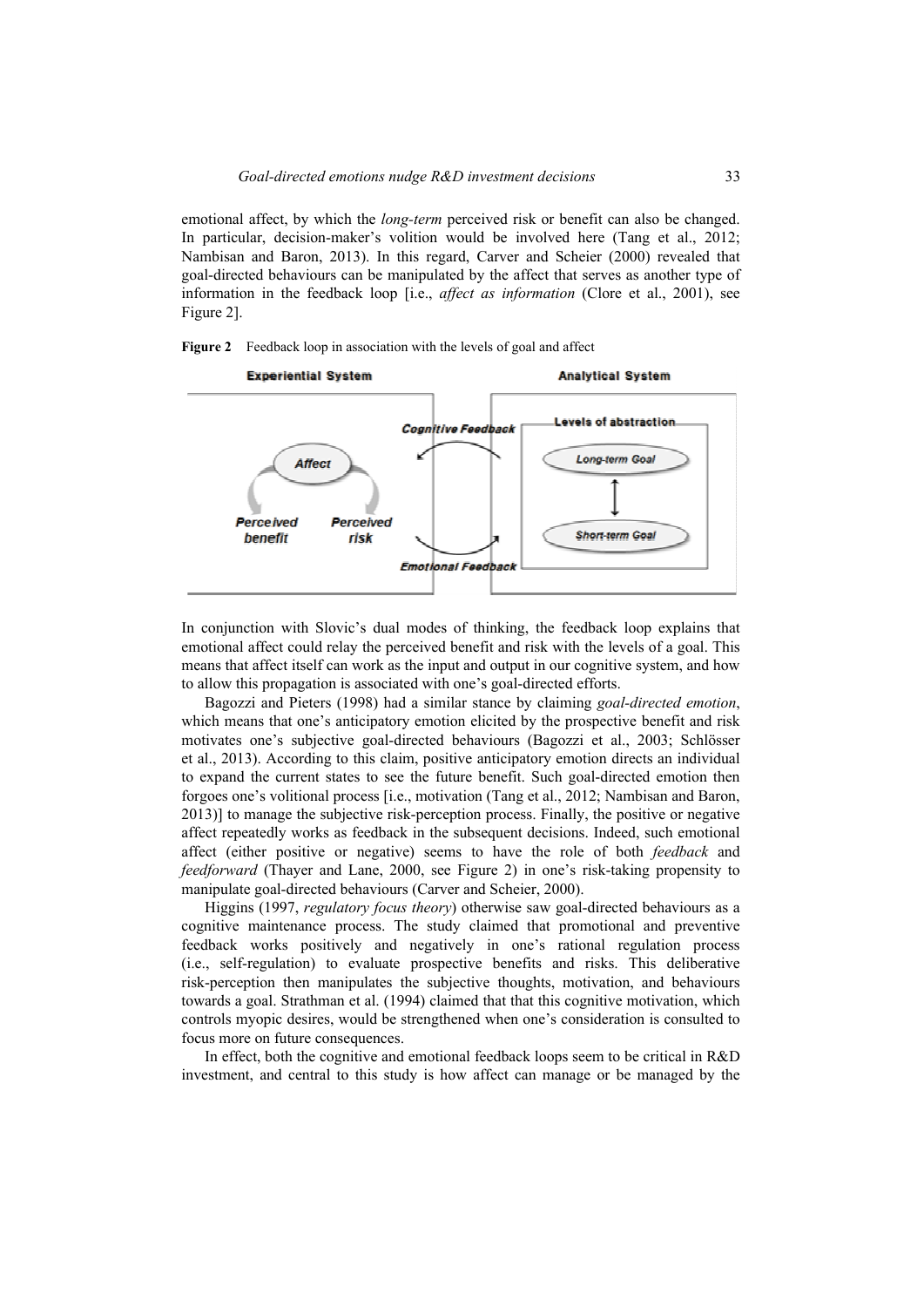emotional affect, by which the *long-term* perceived risk or benefit can also be changed. In particular, decision-maker's volition would be involved here (Tang et al., 2012; Nambisan and Baron, 2013). In this regard, Carver and Scheier (2000) revealed that goal-directed behaviours can be manipulated by the affect that serves as another type of information in the feedback loop [i.e., *affect as information* (Clore et al., 2001), see Figure 2].





In conjunction with Slovic's dual modes of thinking, the feedback loop explains that emotional affect could relay the perceived benefit and risk with the levels of a goal. This means that affect itself can work as the input and output in our cognitive system, and how to allow this propagation is associated with one's goal-directed efforts.

Bagozzi and Pieters (1998) had a similar stance by claiming *goal-directed emotion*, which means that one's anticipatory emotion elicited by the prospective benefit and risk motivates one's subjective goal-directed behaviours (Bagozzi et al., 2003; Schlösser et al., 2013). According to this claim, positive anticipatory emotion directs an individual to expand the current states to see the future benefit. Such goal-directed emotion then forgoes one's volitional process [i.e., motivation (Tang et al., 2012; Nambisan and Baron, 2013)] to manage the subjective risk-perception process. Finally, the positive or negative affect repeatedly works as feedback in the subsequent decisions. Indeed, such emotional affect (either positive or negative) seems to have the role of both *feedback* and *feedforward* (Thayer and Lane, 2000, see Figure 2) in one's risk-taking propensity to manipulate goal-directed behaviours (Carver and Scheier, 2000).

Higgins (1997, *regulatory focus theory*) otherwise saw goal-directed behaviours as a cognitive maintenance process. The study claimed that promotional and preventive feedback works positively and negatively in one's rational regulation process (i.e., self-regulation) to evaluate prospective benefits and risks. This deliberative risk-perception then manipulates the subjective thoughts, motivation, and behaviours towards a goal. Strathman et al. (1994) claimed that that this cognitive motivation, which controls myopic desires, would be strengthened when one's consideration is consulted to focus more on future consequences.

In effect, both the cognitive and emotional feedback loops seem to be critical in R&D investment, and central to this study is how affect can manage or be managed by the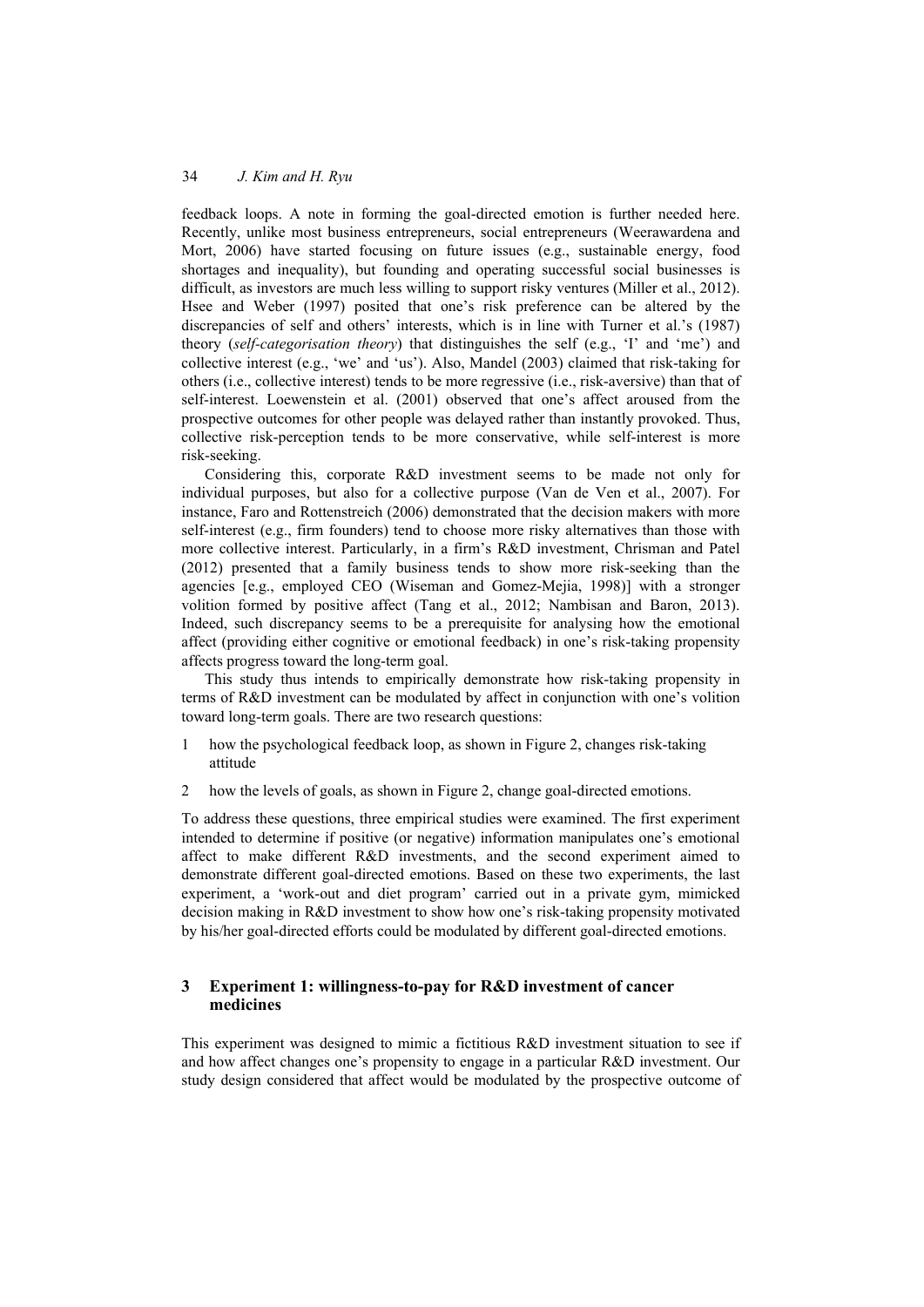feedback loops. A note in forming the goal-directed emotion is further needed here. Recently, unlike most business entrepreneurs, social entrepreneurs (Weerawardena and Mort, 2006) have started focusing on future issues (e.g., sustainable energy, food shortages and inequality), but founding and operating successful social businesses is difficult, as investors are much less willing to support risky ventures (Miller et al., 2012). Hsee and Weber (1997) posited that one's risk preference can be altered by the discrepancies of self and others' interests, which is in line with Turner et al.'s (1987) theory (*self-categorisation theory*) that distinguishes the self (e.g., 'I' and 'me') and collective interest (e.g., 'we' and 'us'). Also, Mandel (2003) claimed that risk-taking for others (i.e., collective interest) tends to be more regressive (i.e., risk-aversive) than that of self-interest. Loewenstein et al. (2001) observed that one's affect aroused from the prospective outcomes for other people was delayed rather than instantly provoked. Thus, collective risk-perception tends to be more conservative, while self-interest is more risk-seeking.

Considering this, corporate R&D investment seems to be made not only for individual purposes, but also for a collective purpose (Van de Ven et al., 2007). For instance, Faro and Rottenstreich (2006) demonstrated that the decision makers with more self-interest (e.g., firm founders) tend to choose more risky alternatives than those with more collective interest. Particularly, in a firm's R&D investment, Chrisman and Patel (2012) presented that a family business tends to show more risk-seeking than the agencies [e.g., employed CEO (Wiseman and Gomez-Mejia, 1998)] with a stronger volition formed by positive affect (Tang et al., 2012; Nambisan and Baron, 2013). Indeed, such discrepancy seems to be a prerequisite for analysing how the emotional affect (providing either cognitive or emotional feedback) in one's risk-taking propensity affects progress toward the long-term goal.

This study thus intends to empirically demonstrate how risk-taking propensity in terms of R&D investment can be modulated by affect in conjunction with one's volition toward long-term goals. There are two research questions:

- 1 how the psychological feedback loop, as shown in Figure 2, changes risk-taking attitude
- 2 how the levels of goals, as shown in Figure 2, change goal-directed emotions.

To address these questions, three empirical studies were examined. The first experiment intended to determine if positive (or negative) information manipulates one's emotional affect to make different R&D investments, and the second experiment aimed to demonstrate different goal-directed emotions. Based on these two experiments, the last experiment, a 'work-out and diet program' carried out in a private gym, mimicked decision making in R&D investment to show how one's risk-taking propensity motivated by his/her goal-directed efforts could be modulated by different goal-directed emotions.

# **3 Experiment 1: willingness-to-pay for R&D investment of cancer medicines**

This experiment was designed to mimic a fictitious R&D investment situation to see if and how affect changes one's propensity to engage in a particular R&D investment. Our study design considered that affect would be modulated by the prospective outcome of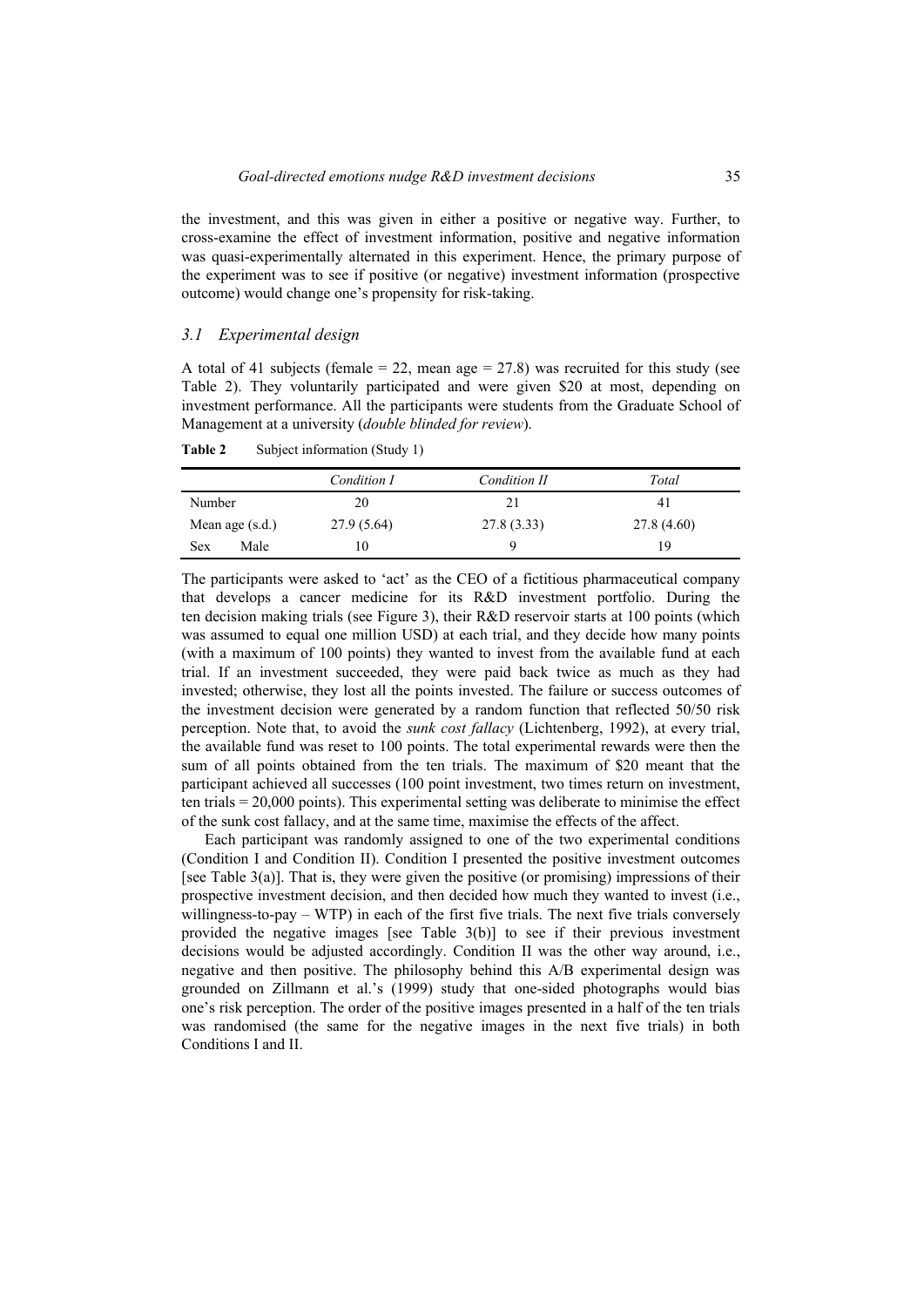the investment, and this was given in either a positive or negative way. Further, to cross-examine the effect of investment information, positive and negative information was quasi-experimentally alternated in this experiment. Hence, the primary purpose of the experiment was to see if positive (or negative) investment information (prospective outcome) would change one's propensity for risk-taking.

#### *3.1 Experimental design*

A total of 41 subjects (female  $= 22$ , mean age  $= 27.8$ ) was recruited for this study (see Table 2). They voluntarily participated and were given \$20 at most, depending on investment performance. All the participants were students from the Graduate School of Management at a university (*double blinded for review*).

|                    | Condition I | Condition II | Total      |
|--------------------|-------------|--------------|------------|
| Number             | 20          | 21           | 41         |
| Mean age $(s.d.)$  | 27.9 (5.64) | 27.8(3.33)   | 27.8(4.60) |
| Male<br><b>Sex</b> | 10          | Q            | 19         |

**Table 2** Subject information (Study 1)

The participants were asked to 'act' as the CEO of a fictitious pharmaceutical company that develops a cancer medicine for its R&D investment portfolio. During the ten decision making trials (see Figure 3), their R&D reservoir starts at 100 points (which was assumed to equal one million USD) at each trial, and they decide how many points (with a maximum of 100 points) they wanted to invest from the available fund at each trial. If an investment succeeded, they were paid back twice as much as they had invested; otherwise, they lost all the points invested. The failure or success outcomes of the investment decision were generated by a random function that reflected 50/50 risk perception. Note that, to avoid the *sunk cost fallacy* (Lichtenberg, 1992), at every trial, the available fund was reset to 100 points. The total experimental rewards were then the sum of all points obtained from the ten trials. The maximum of \$20 meant that the participant achieved all successes (100 point investment, two times return on investment, ten trials = 20,000 points). This experimental setting was deliberate to minimise the effect of the sunk cost fallacy, and at the same time, maximise the effects of the affect.

Each participant was randomly assigned to one of the two experimental conditions (Condition I and Condition II). Condition I presented the positive investment outcomes [see Table 3(a)]. That is, they were given the positive (or promising) impressions of their prospective investment decision, and then decided how much they wanted to invest (i.e., willingness-to-pay – WTP) in each of the first five trials. The next five trials conversely provided the negative images [see Table 3(b)] to see if their previous investment decisions would be adjusted accordingly. Condition II was the other way around, i.e., negative and then positive. The philosophy behind this A/B experimental design was grounded on Zillmann et al.'s (1999) study that one-sided photographs would bias one's risk perception. The order of the positive images presented in a half of the ten trials was randomised (the same for the negative images in the next five trials) in both Conditions I and II.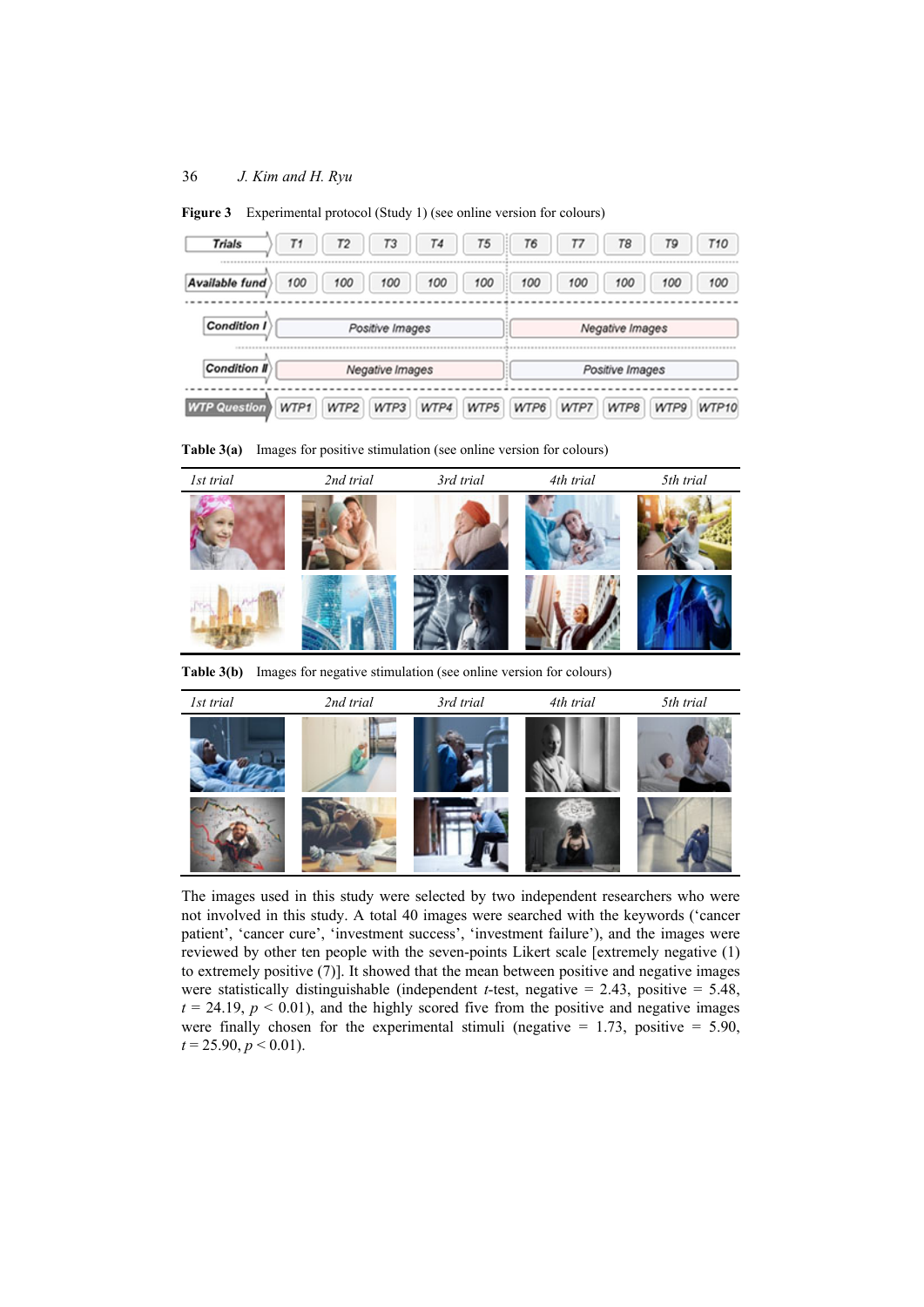| Trials              | T1   | T <sub>2</sub> | <b>T3</b>       | <b>T4</b> | <b>T5</b> | <b>T6</b> | Τ7   | <b>T8</b>       | T9   | <b>T10</b> |
|---------------------|------|----------------|-----------------|-----------|-----------|-----------|------|-----------------|------|------------|
| Available fund      | 100  | 100            | 100             | 100       | 100       | 100       | 100  | 100             | 100  | 100        |
| <b>Condition I</b>  |      |                | Positive Images |           |           |           |      | Negative Images |      |            |
| <b>Condition II</b> |      |                | Negative Images |           |           |           |      | Positive Images |      |            |
| <b>WTP Question</b> | WTP1 | WTP2           | WTP3            | WTP4      | WTP5      | WTP6      | WTP7 | WTP8            | WTP9 | WTP10      |

Figure 3 Experimental protocol (Study 1) (see online version for colours)

**Table 3(a)** Images for positive stimulation (see online version for colours)



**Table 3(b)** Images for negative stimulation (see online version for colours)



The images used in this study were selected by two independent researchers who were not involved in this study. A total 40 images were searched with the keywords ('cancer patient', 'cancer cure', 'investment success', 'investment failure'), and the images were reviewed by other ten people with the seven-points Likert scale [extremely negative (1) to extremely positive (7)]. It showed that the mean between positive and negative images were statistically distinguishable (independent *t*-test, negative  $= 2.43$ , positive  $= 5.48$ ,  $t = 24.19$ ,  $p < 0.01$ ), and the highly scored five from the positive and negative images were finally chosen for the experimental stimuli (negative  $= 1.73$ , positive  $= 5.90$ ,  $t = 25.90, p \le 0.01$ .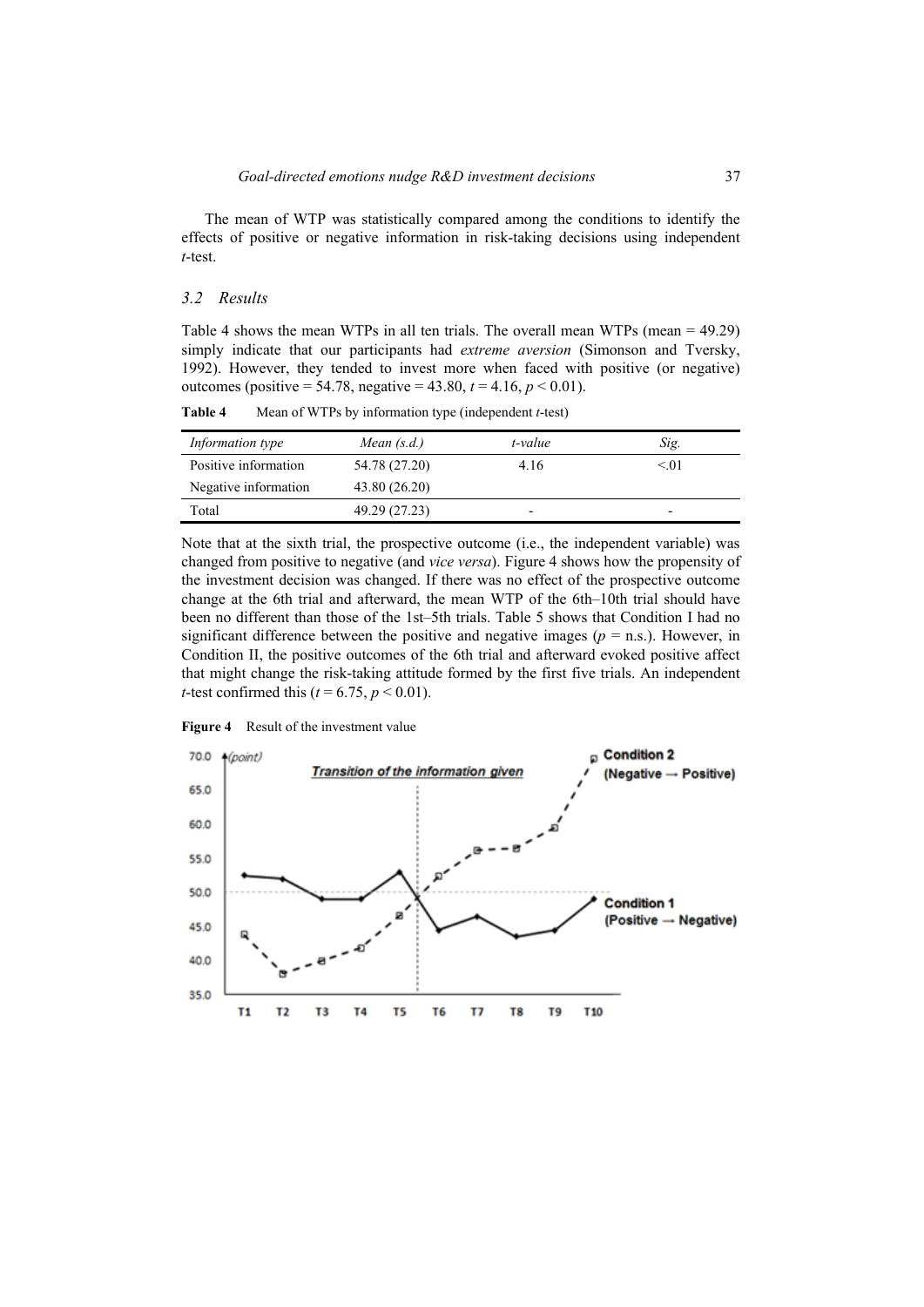The mean of WTP was statistically compared among the conditions to identify the effects of positive or negative information in risk-taking decisions using independent *t*-test.

## *3.2 Results*

Table 4 shows the mean WTPs in all ten trials. The overall mean WTPs (mean = 49.29) simply indicate that our participants had *extreme aversion* (Simonson and Tversky, 1992). However, they tended to invest more when faced with positive (or negative) outcomes (positive = 54.78, negative =  $43.80, t = 4.16, p < 0.01$ ).

| Information type     | Mean $(s.d.)$ | t-value                  | Sig.                     |
|----------------------|---------------|--------------------------|--------------------------|
| Positive information | 54.78 (27.20) | 4.16                     | $\leq$ . $(1)$           |
| Negative information | 43.80 (26.20) |                          |                          |
| Total                | 49.29 (27.23) | $\overline{\phantom{0}}$ | $\overline{\phantom{0}}$ |

**Table 4** Mean of WTPs by information type (independent *t*-test)

Note that at the sixth trial, the prospective outcome (i.e., the independent variable) was changed from positive to negative (and *vice versa*). Figure 4 shows how the propensity of the investment decision was changed. If there was no effect of the prospective outcome change at the 6th trial and afterward, the mean WTP of the 6th–10th trial should have been no different than those of the 1st–5th trials. Table 5 shows that Condition I had no significant difference between the positive and negative images ( $p =$  n.s.). However, in Condition II, the positive outcomes of the 6th trial and afterward evoked positive affect that might change the risk-taking attitude formed by the first five trials. An independent *t*-test confirmed this ( $t = 6.75$ ,  $p < 0.01$ ).



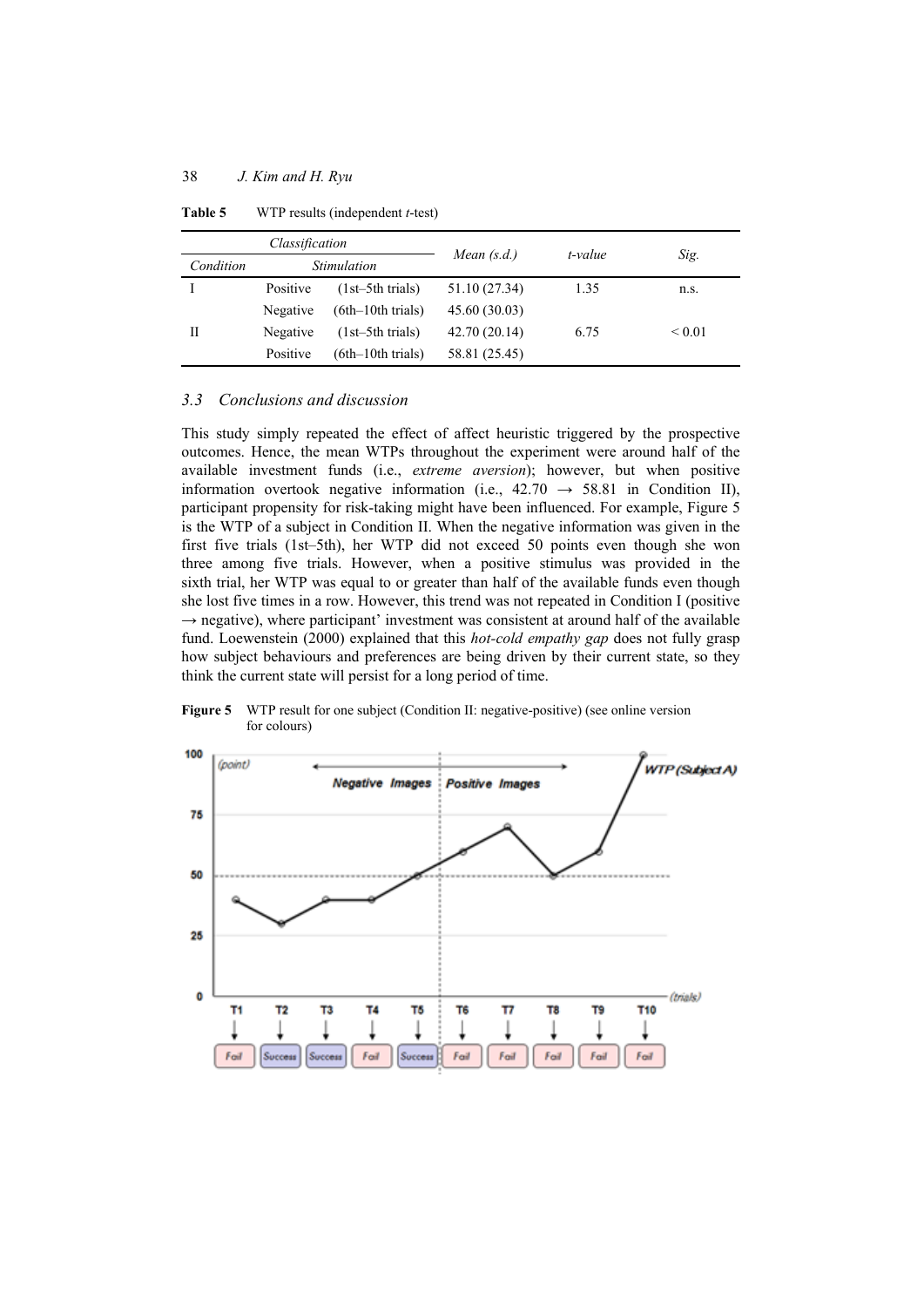| Classification |          | Mean $(s.d.)$       | t-value       |      |             |
|----------------|----------|---------------------|---------------|------|-------------|
| Condition      |          | <b>Stimulation</b>  |               |      | Sig.        |
|                | Positive | $(1st-5th trials)$  | 51.10 (27.34) | 1.35 | n.S.        |
|                | Negative | $(6th-10th$ trials) | 45.60 (30.03) |      |             |
| Н              | Negative | $(1st-5th trials)$  | 42.70 (20.14) | 6.75 | ${}_{0.01}$ |
|                | Positive | $(6th-10th$ trials) | 58.81 (25.45) |      |             |

**Table 5** WTP results (independent *t*-test)

# *3.3 Conclusions and discussion*

This study simply repeated the effect of affect heuristic triggered by the prospective outcomes. Hence, the mean WTPs throughout the experiment were around half of the available investment funds (i.e., *extreme aversion*); however, but when positive information overtook negative information (i.e.,  $42.70 \rightarrow 58.81$  in Condition II), participant propensity for risk-taking might have been influenced. For example, Figure 5 is the WTP of a subject in Condition II. When the negative information was given in the first five trials (1st–5th), her WTP did not exceed 50 points even though she won three among five trials. However, when a positive stimulus was provided in the sixth trial, her WTP was equal to or greater than half of the available funds even though she lost five times in a row. However, this trend was not repeated in Condition I (positive  $\rightarrow$  negative), where participant' investment was consistent at around half of the available fund. Loewenstein (2000) explained that this *hot-cold empathy gap* does not fully grasp how subject behaviours and preferences are being driven by their current state, so they think the current state will persist for a long period of time.

**Figure 5** WTP result for one subject (Condition II: negative-positive) (see online version for colours)

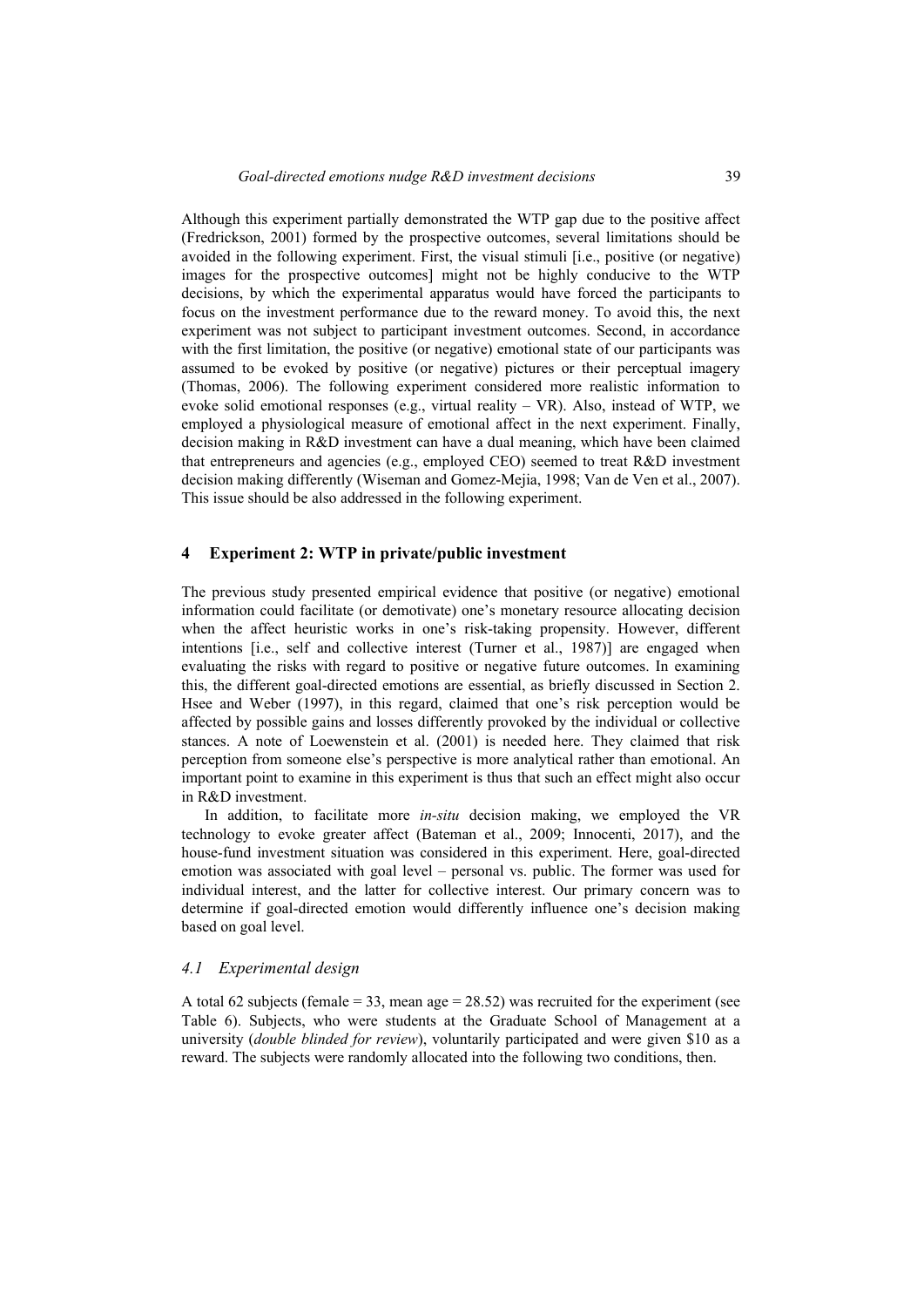Although this experiment partially demonstrated the WTP gap due to the positive affect (Fredrickson, 2001) formed by the prospective outcomes, several limitations should be avoided in the following experiment. First, the visual stimuli [i.e., positive (or negative) images for the prospective outcomes] might not be highly conducive to the WTP decisions, by which the experimental apparatus would have forced the participants to focus on the investment performance due to the reward money. To avoid this, the next experiment was not subject to participant investment outcomes. Second, in accordance with the first limitation, the positive (or negative) emotional state of our participants was assumed to be evoked by positive (or negative) pictures or their perceptual imagery (Thomas, 2006). The following experiment considered more realistic information to evoke solid emotional responses (e.g., virtual reality – VR). Also, instead of WTP, we employed a physiological measure of emotional affect in the next experiment. Finally, decision making in R&D investment can have a dual meaning, which have been claimed that entrepreneurs and agencies (e.g., employed CEO) seemed to treat R&D investment decision making differently (Wiseman and Gomez-Mejia, 1998; Van de Ven et al., 2007). This issue should be also addressed in the following experiment.

#### **4 Experiment 2: WTP in private/public investment**

The previous study presented empirical evidence that positive (or negative) emotional information could facilitate (or demotivate) one's monetary resource allocating decision when the affect heuristic works in one's risk-taking propensity. However, different intentions [i.e., self and collective interest (Turner et al., 1987)] are engaged when evaluating the risks with regard to positive or negative future outcomes. In examining this, the different goal-directed emotions are essential, as briefly discussed in Section 2. Hsee and Weber (1997), in this regard, claimed that one's risk perception would be affected by possible gains and losses differently provoked by the individual or collective stances. A note of Loewenstein et al. (2001) is needed here. They claimed that risk perception from someone else's perspective is more analytical rather than emotional. An important point to examine in this experiment is thus that such an effect might also occur in R&D investment.

In addition, to facilitate more *in-situ* decision making, we employed the VR technology to evoke greater affect (Bateman et al., 2009; Innocenti, 2017), and the house-fund investment situation was considered in this experiment. Here, goal-directed emotion was associated with goal level – personal vs. public. The former was used for individual interest, and the latter for collective interest. Our primary concern was to determine if goal-directed emotion would differently influence one's decision making based on goal level.

### *4.1 Experimental design*

A total 62 subjects (female  $= 33$ , mean age  $= 28.52$ ) was recruited for the experiment (see Table 6). Subjects, who were students at the Graduate School of Management at a university (*double blinded for review*), voluntarily participated and were given \$10 as a reward. The subjects were randomly allocated into the following two conditions, then.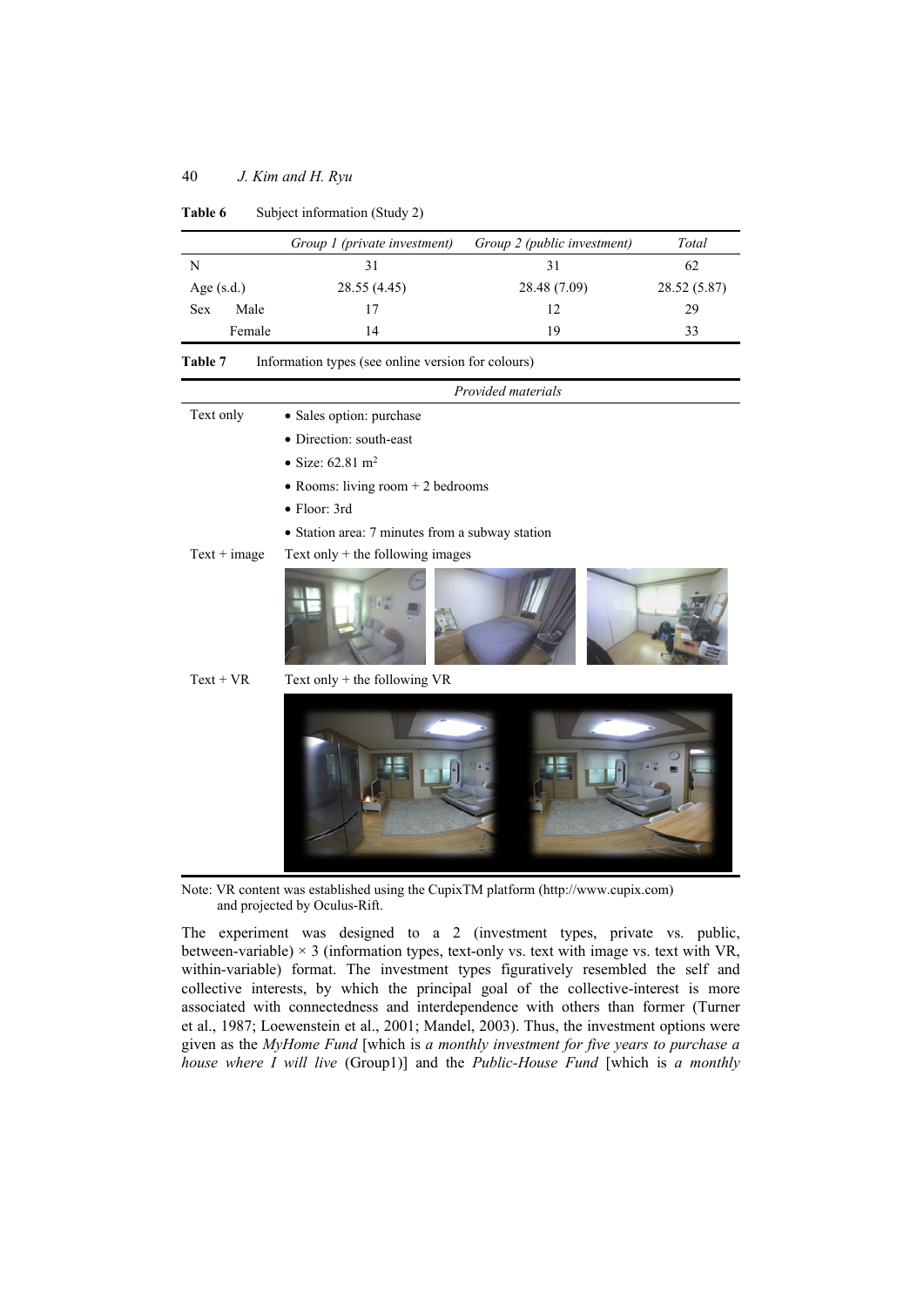|              |        | Group 1 (private investment) | Group 2 (public investment) | Total        |
|--------------|--------|------------------------------|-----------------------------|--------------|
| N            |        |                              | 31                          | 62           |
| Age $(s.d.)$ |        | 28.55 (4.45)                 | 28.48 (7.09)                | 28.52 (5.87) |
| Sex          | Male   |                              | 12                          | 29           |
|              | Female | 14                           | 19                          | 33           |

Table 6 Subject information (Study 2)

| Information types (see online version for colours) | Table 7 |  |  |  |  |  |
|----------------------------------------------------|---------|--|--|--|--|--|
|----------------------------------------------------|---------|--|--|--|--|--|

|                | Provided materials                              |
|----------------|-------------------------------------------------|
| Text only      | · Sales option: purchase                        |
|                | • Direction: south-east                         |
|                | • Size: $62.81 \text{ m}^2$                     |
|                | $\bullet$ Rooms: living room + 2 bedrooms       |
|                | $\bullet$ Floor: 3rd                            |
|                | • Station area: 7 minutes from a subway station |
| $Text + image$ | Text only $+$ the following images              |
|                |                                                 |
| $Text + VR$    | Text only + the following VR                    |
|                |                                                 |

Note: VR content was established using the CupixTM platform (http://www.cupix.com) and projected by Oculus-Rift.

The experiment was designed to a 2 (investment types, private vs. public, between-variable)  $\times$  3 (information types, text-only vs. text with image vs. text with VR, within-variable) format. The investment types figuratively resembled the self and collective interests, by which the principal goal of the collective-interest is more associated with connectedness and interdependence with others than former (Turner et al., 1987; Loewenstein et al., 2001; Mandel, 2003). Thus, the investment options were given as the *MyHome Fund* [which is *a monthly investment for five years to purchase a house where I will live* (Group1)] and the *Public-House Fund* [which is *a monthly*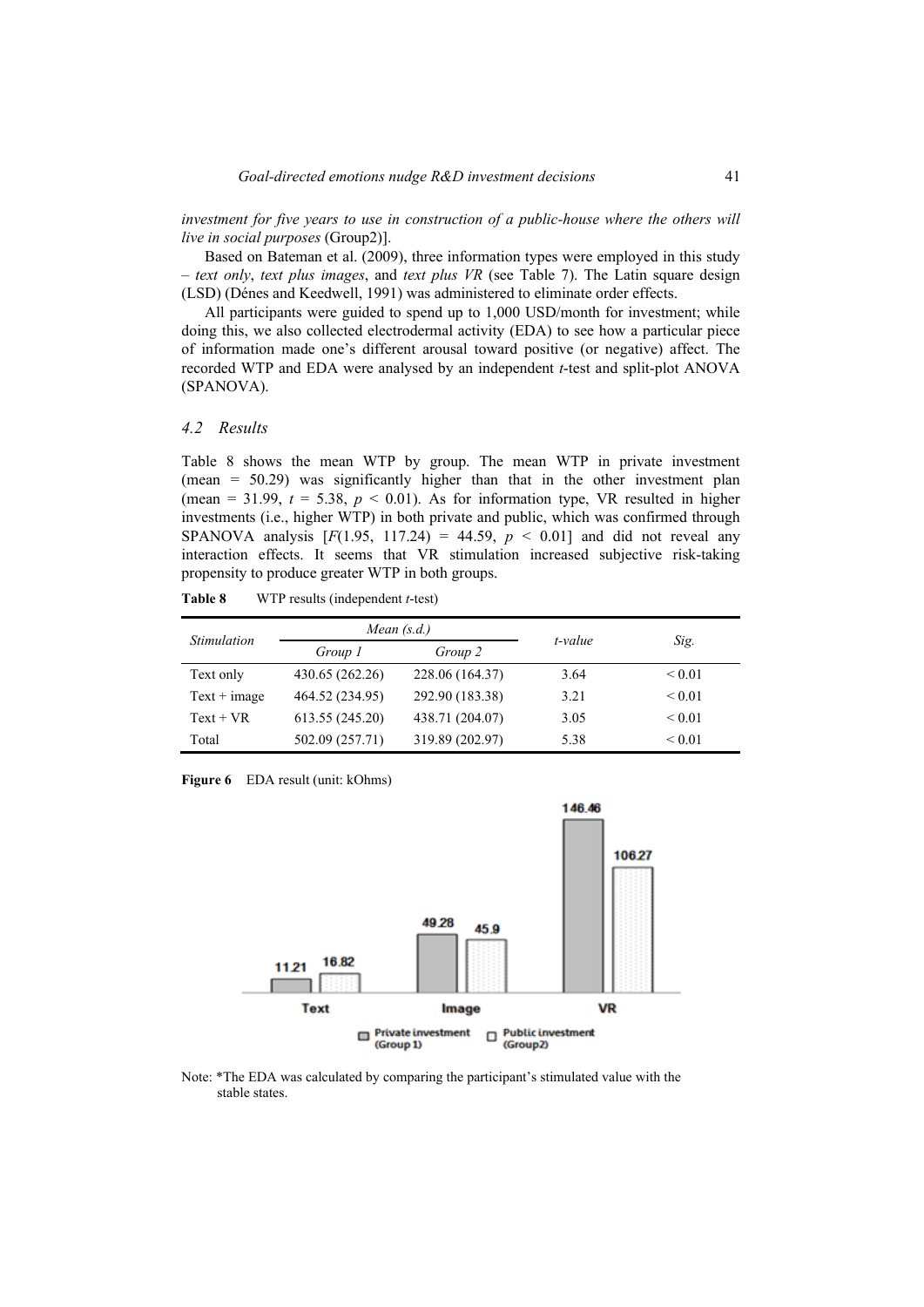*investment for five years to use in construction of a public-house where the others will live in social purposes* (Group2)].

Based on Bateman et al. (2009), three information types were employed in this study – *text only*, *text plus images*, and *text plus VR* (see Table 7). The Latin square design (LSD) (Dénes and Keedwell, 1991) was administered to eliminate order effects.

All participants were guided to spend up to 1,000 USD/month for investment; while doing this, we also collected electrodermal activity (EDA) to see how a particular piece of information made one's different arousal toward positive (or negative) affect. The recorded WTP and EDA were analysed by an independent *t*-test and split-plot ANOVA (SPANOVA).

#### *4.2 Results*

Table 8 shows the mean WTP by group. The mean WTP in private investment (mean = 50.29) was significantly higher than that in the other investment plan (mean =  $31.99$ ,  $t = 5.38$ ,  $p < 0.01$ ). As for information type, VR resulted in higher investments (i.e., higher WTP) in both private and public, which was confirmed through SPANOVA analysis  $[F(1.95, 117.24) = 44.59, p < 0.01]$  and did not reveal any interaction effects. It seems that VR stimulation increased subjective risk-taking propensity to produce greater WTP in both groups.

| Table 8 |  | WTP results (independent $t$ -test) |
|---------|--|-------------------------------------|
|---------|--|-------------------------------------|

| Stimulation    |                 | Mean $(s.d.)$   | t-value |             |
|----------------|-----------------|-----------------|---------|-------------|
|                | Group 1         | Group 2         |         | Sig.        |
| Text only      | 430.65 (262.26) | 228.06 (164.37) | 3.64    | ${}_{0.01}$ |
| $Text + image$ | 464.52 (234.95) | 292.90 (183.38) | 3.21    | ${}_{0.01}$ |
| $Text + VR$    | 613.55 (245.20) | 438.71 (204.07) | 3.05    | ${}_{0.01}$ |
| Total          | 502.09 (257.71) | 319.89 (202.97) | 5.38    | ${}_{0.01}$ |

Figure 6 EDA result (unit: kOhms)



Note: \*The EDA was calculated by comparing the participant's stimulated value with the stable states.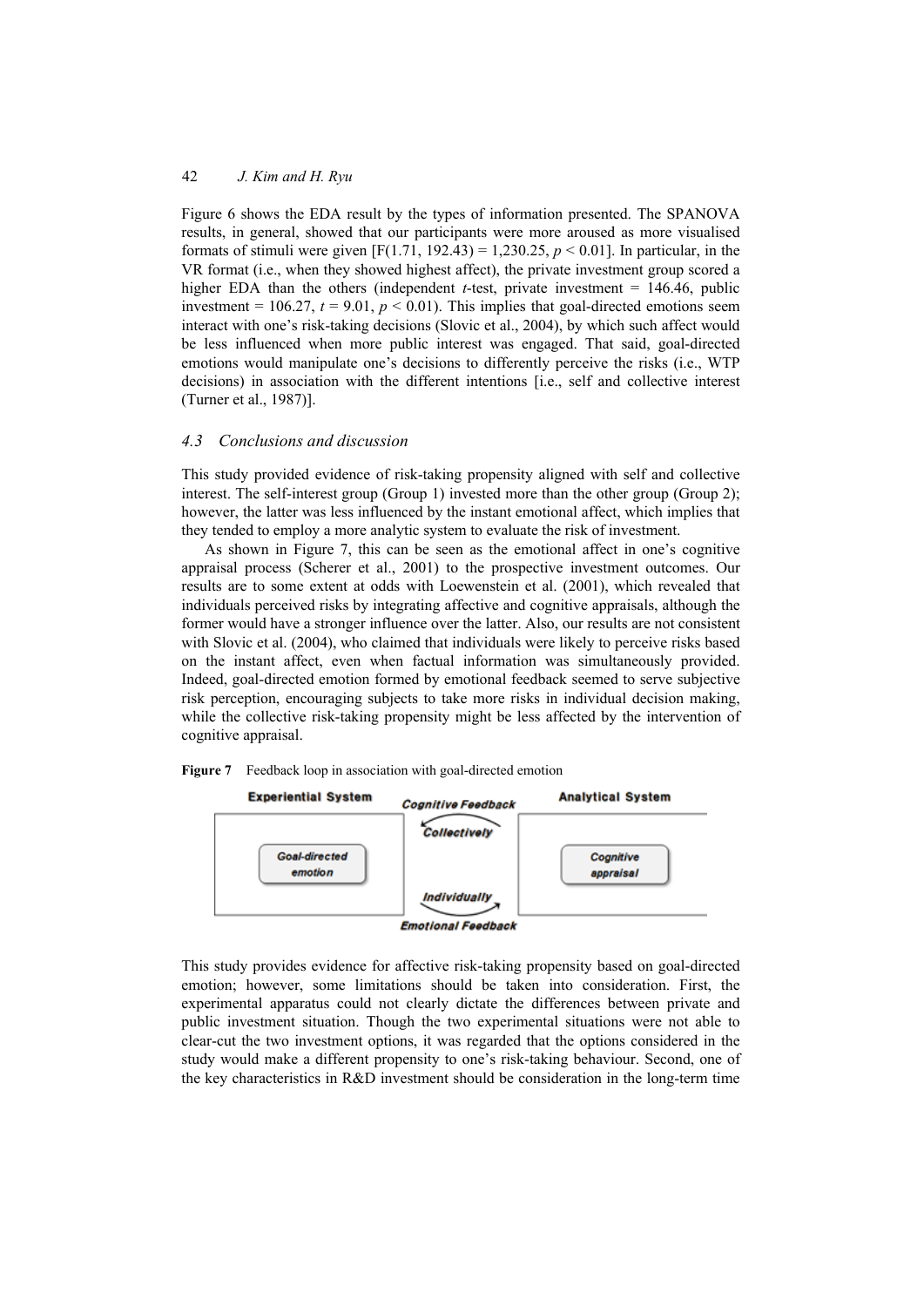Figure 6 shows the EDA result by the types of information presented. The SPANOVA results, in general, showed that our participants were more aroused as more visualised formats of stimuli were given [F(1.71, 192.43) = 1,230.25, *p* < 0.01]. In particular, in the VR format (i.e., when they showed highest affect), the private investment group scored a higher EDA than the others (independent *t*-test, private investment  $= 146.46$ , public investment =  $106.27$ ,  $t = 9.01$ ,  $p < 0.01$ ). This implies that goal-directed emotions seem interact with one's risk-taking decisions (Slovic et al., 2004), by which such affect would be less influenced when more public interest was engaged. That said, goal-directed emotions would manipulate one's decisions to differently perceive the risks (i.e., WTP decisions) in association with the different intentions [i.e., self and collective interest (Turner et al., 1987)].

# *4.3 Conclusions and discussion*

This study provided evidence of risk-taking propensity aligned with self and collective interest. The self-interest group (Group 1) invested more than the other group (Group 2); however, the latter was less influenced by the instant emotional affect, which implies that they tended to employ a more analytic system to evaluate the risk of investment.

As shown in Figure 7, this can be seen as the emotional affect in one's cognitive appraisal process (Scherer et al., 2001) to the prospective investment outcomes. Our results are to some extent at odds with Loewenstein et al. (2001), which revealed that individuals perceived risks by integrating affective and cognitive appraisals, although the former would have a stronger influence over the latter. Also, our results are not consistent with Slovic et al. (2004), who claimed that individuals were likely to perceive risks based on the instant affect, even when factual information was simultaneously provided. Indeed, goal-directed emotion formed by emotional feedback seemed to serve subjective risk perception, encouraging subjects to take more risks in individual decision making, while the collective risk-taking propensity might be less affected by the intervention of cognitive appraisal.



**Figure 7** Feedback loop in association with goal-directed emotion

This study provides evidence for affective risk-taking propensity based on goal-directed emotion; however, some limitations should be taken into consideration. First, the experimental apparatus could not clearly dictate the differences between private and public investment situation. Though the two experimental situations were not able to clear-cut the two investment options, it was regarded that the options considered in the study would make a different propensity to one's risk-taking behaviour. Second, one of the key characteristics in R&D investment should be consideration in the long-term time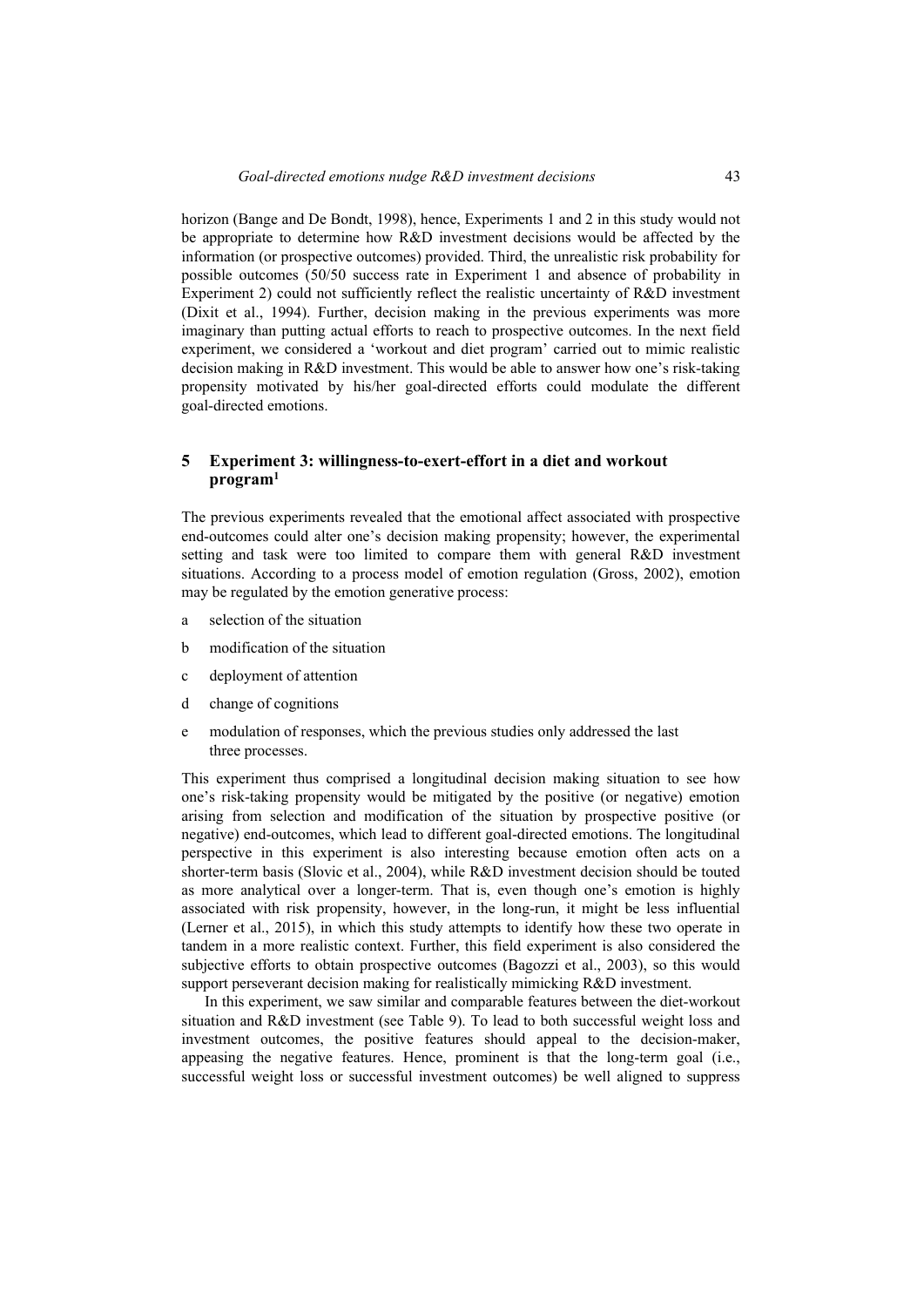horizon (Bange and De Bondt, 1998), hence, Experiments 1 and 2 in this study would not be appropriate to determine how R&D investment decisions would be affected by the information (or prospective outcomes) provided. Third, the unrealistic risk probability for possible outcomes (50/50 success rate in Experiment 1 and absence of probability in Experiment 2) could not sufficiently reflect the realistic uncertainty of R&D investment (Dixit et al., 1994). Further, decision making in the previous experiments was more imaginary than putting actual efforts to reach to prospective outcomes. In the next field experiment, we considered a 'workout and diet program' carried out to mimic realistic decision making in R&D investment. This would be able to answer how one's risk-taking propensity motivated by his/her goal-directed efforts could modulate the different goal-directed emotions.

# **5 Experiment 3: willingness-to-exert-effort in a diet and workout program1**

The previous experiments revealed that the emotional affect associated with prospective end-outcomes could alter one's decision making propensity; however, the experimental setting and task were too limited to compare them with general R&D investment situations. According to a process model of emotion regulation (Gross, 2002), emotion may be regulated by the emotion generative process:

- a selection of the situation
- b modification of the situation
- c deployment of attention
- d change of cognitions
- e modulation of responses, which the previous studies only addressed the last three processes.

This experiment thus comprised a longitudinal decision making situation to see how one's risk-taking propensity would be mitigated by the positive (or negative) emotion arising from selection and modification of the situation by prospective positive (or negative) end-outcomes, which lead to different goal-directed emotions. The longitudinal perspective in this experiment is also interesting because emotion often acts on a shorter-term basis (Slovic et al., 2004), while R&D investment decision should be touted as more analytical over a longer-term. That is, even though one's emotion is highly associated with risk propensity, however, in the long-run, it might be less influential (Lerner et al., 2015), in which this study attempts to identify how these two operate in tandem in a more realistic context. Further, this field experiment is also considered the subjective efforts to obtain prospective outcomes (Bagozzi et al., 2003), so this would support perseverant decision making for realistically mimicking R&D investment.

In this experiment, we saw similar and comparable features between the diet-workout situation and R&D investment (see Table 9). To lead to both successful weight loss and investment outcomes, the positive features should appeal to the decision-maker, appeasing the negative features. Hence, prominent is that the long-term goal (i.e., successful weight loss or successful investment outcomes) be well aligned to suppress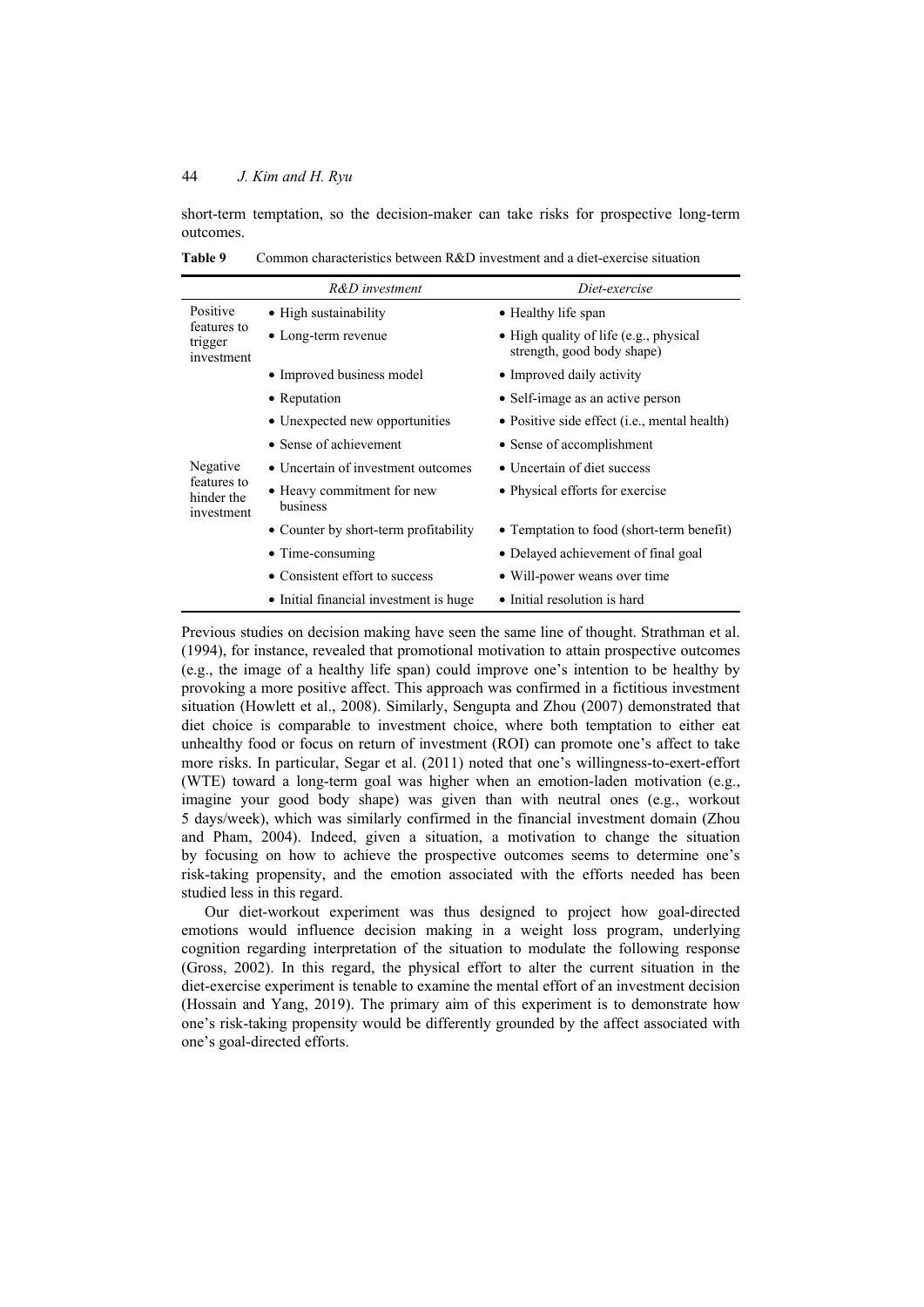short-term temptation, so the decision-maker can take risks for prospective long-term outcomes.

|                                         | R&D investment                         | Diet-exercise                                                        |
|-----------------------------------------|----------------------------------------|----------------------------------------------------------------------|
| Positive                                | • High sustainability                  | • Healthy life span                                                  |
| features to<br>trigger<br>investment    | $\bullet$ Long-term revenue            | • High quality of life (e.g., physical<br>strength, good body shape) |
|                                         | • Improved business model              | • Improved daily activity                                            |
|                                         | • Reputation                           | • Self-image as an active person                                     |
|                                         | • Unexpected new opportunities         | • Positive side effect ( <i>i.e.</i> , mental health)                |
|                                         | • Sense of achievement                 | • Sense of accomplishment                                            |
| Negative                                | • Uncertain of investment outcomes     | • Uncertain of diet success                                          |
| features to<br>hinder the<br>investment | • Heavy commitment for new<br>business | • Physical efforts for exercise                                      |
|                                         | • Counter by short-term profitability  | • Temptation to food (short-term benefit)                            |
|                                         | • Time-consuming                       | • Delayed achievement of final goal                                  |
|                                         | • Consistent effort to success         | • Will-power weans over time                                         |
|                                         | • Initial financial investment is huge | • Initial resolution is hard                                         |

**Table 9** Common characteristics between R&D investment and a diet-exercise situation

Previous studies on decision making have seen the same line of thought. Strathman et al. (1994), for instance, revealed that promotional motivation to attain prospective outcomes (e.g., the image of a healthy life span) could improve one's intention to be healthy by provoking a more positive affect. This approach was confirmed in a fictitious investment situation (Howlett et al., 2008). Similarly, Sengupta and Zhou (2007) demonstrated that diet choice is comparable to investment choice, where both temptation to either eat unhealthy food or focus on return of investment (ROI) can promote one's affect to take more risks. In particular, Segar et al. (2011) noted that one's willingness-to-exert-effort (WTE) toward a long-term goal was higher when an emotion-laden motivation (e.g., imagine your good body shape) was given than with neutral ones (e.g., workout 5 days/week), which was similarly confirmed in the financial investment domain (Zhou and Pham, 2004). Indeed, given a situation, a motivation to change the situation by focusing on how to achieve the prospective outcomes seems to determine one's risk-taking propensity, and the emotion associated with the efforts needed has been studied less in this regard.

Our diet-workout experiment was thus designed to project how goal-directed emotions would influence decision making in a weight loss program, underlying cognition regarding interpretation of the situation to modulate the following response (Gross, 2002). In this regard, the physical effort to alter the current situation in the diet-exercise experiment is tenable to examine the mental effort of an investment decision (Hossain and Yang, 2019). The primary aim of this experiment is to demonstrate how one's risk-taking propensity would be differently grounded by the affect associated with one's goal-directed efforts.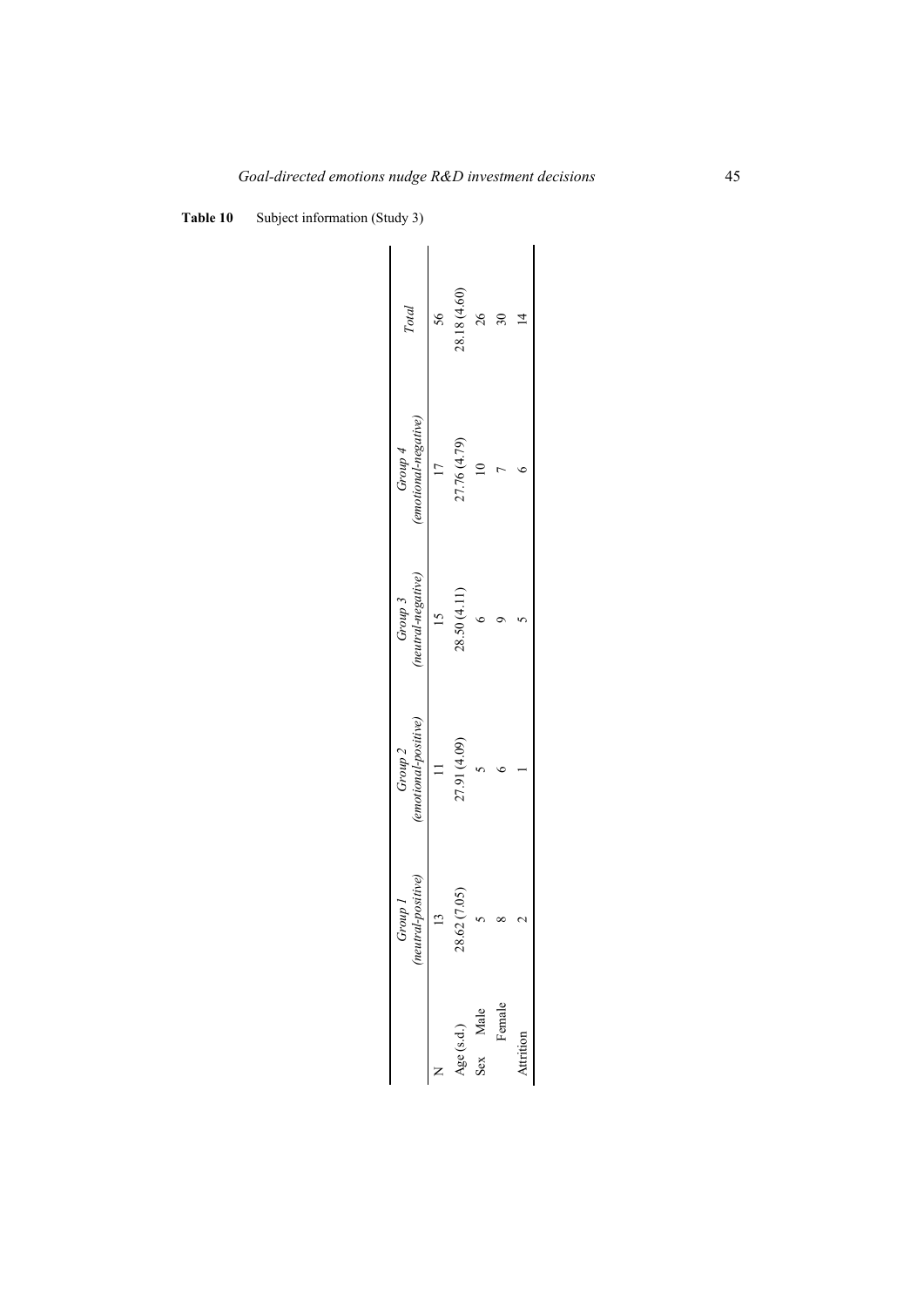**Table 10** Subject information (Study 3)

| Total                             | 56 | 28.18 (4.60)   | 26       |        |           |
|-----------------------------------|----|----------------|----------|--------|-----------|
| $(emotional-negative)$<br>Group 4 |    | 27.76 (4.79)   |          |        |           |
| Group 3<br>(neutral-negative)     |    | 28.50 (4.11)   |          |        |           |
| (emotional-positive)<br>Group 2   |    | 27.91 (4.09)   |          |        |           |
| (neutral-positive)<br>r dnorr     |    | 28.62 (7.05)   |          |        |           |
|                                   |    | $Age$ $(s.d.)$ | Sex Male | Female | kttrition |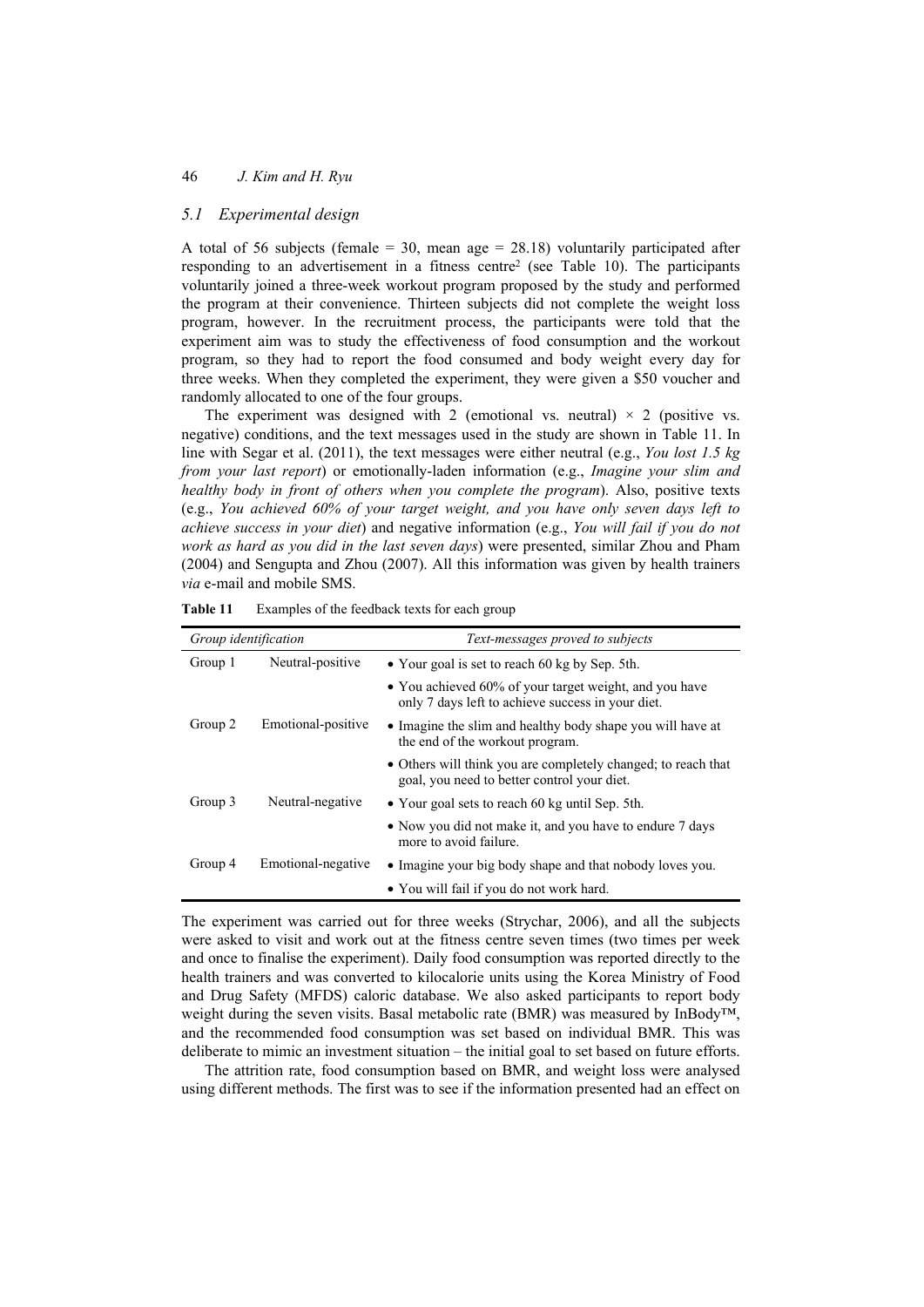## *5.1 Experimental design*

A total of 56 subjects (female  $=$  30, mean age  $=$  28.18) voluntarily participated after responding to an advertisement in a fitness centre2 (see Table 10). The participants voluntarily joined a three-week workout program proposed by the study and performed the program at their convenience. Thirteen subjects did not complete the weight loss program, however. In the recruitment process, the participants were told that the experiment aim was to study the effectiveness of food consumption and the workout program, so they had to report the food consumed and body weight every day for three weeks. When they completed the experiment, they were given a \$50 voucher and randomly allocated to one of the four groups.

The experiment was designed with 2 (emotional vs. neutral)  $\times$  2 (positive vs. negative) conditions, and the text messages used in the study are shown in Table 11. In line with Segar et al. (2011), the text messages were either neutral (e.g., *You lost 1.5 kg from your last report*) or emotionally-laden information (e.g., *Imagine your slim and healthy body in front of others when you complete the program*). Also, positive texts (e.g., *You achieved 60% of your target weight, and you have only seven days left to achieve success in your diet*) and negative information (e.g., *You will fail if you do not work as hard as you did in the last seven days*) were presented, similar Zhou and Pham (2004) and Sengupta and Zhou (2007). All this information was given by health trainers *via* e-mail and mobile SMS.

| Group identification |                    | Text-messages proved to subjects                                                                             |  |  |
|----------------------|--------------------|--------------------------------------------------------------------------------------------------------------|--|--|
| Group 1              | Neutral-positive   | • Your goal is set to reach 60 kg by Sep. 5th.                                                               |  |  |
|                      |                    | • You achieved 60% of your target weight, and you have<br>only 7 days left to achieve success in your diet.  |  |  |
| Group 2              | Emotional-positive | • Imagine the slim and healthy body shape you will have at<br>the end of the workout program.                |  |  |
|                      |                    | • Others will think you are completely changed; to reach that<br>goal, you need to better control your diet. |  |  |
| Group 3              | Neutral-negative   | • Your goal sets to reach 60 kg until Sep. 5th.                                                              |  |  |
|                      |                    | • Now you did not make it, and you have to endure 7 days<br>more to avoid failure.                           |  |  |
| Group 4              | Emotional-negative | • Imagine your big body shape and that nobody loves you.                                                     |  |  |
|                      |                    | • You will fail if you do not work hard.                                                                     |  |  |

**Table 11** Examples of the feedback texts for each group

The experiment was carried out for three weeks (Strychar, 2006), and all the subjects were asked to visit and work out at the fitness centre seven times (two times per week and once to finalise the experiment). Daily food consumption was reported directly to the health trainers and was converted to kilocalorie units using the Korea Ministry of Food and Drug Safety (MFDS) caloric database. We also asked participants to report body weight during the seven visits. Basal metabolic rate (BMR) was measured by InBody<sup>TM</sup>, and the recommended food consumption was set based on individual BMR. This was deliberate to mimic an investment situation – the initial goal to set based on future efforts.

The attrition rate, food consumption based on BMR, and weight loss were analysed using different methods. The first was to see if the information presented had an effect on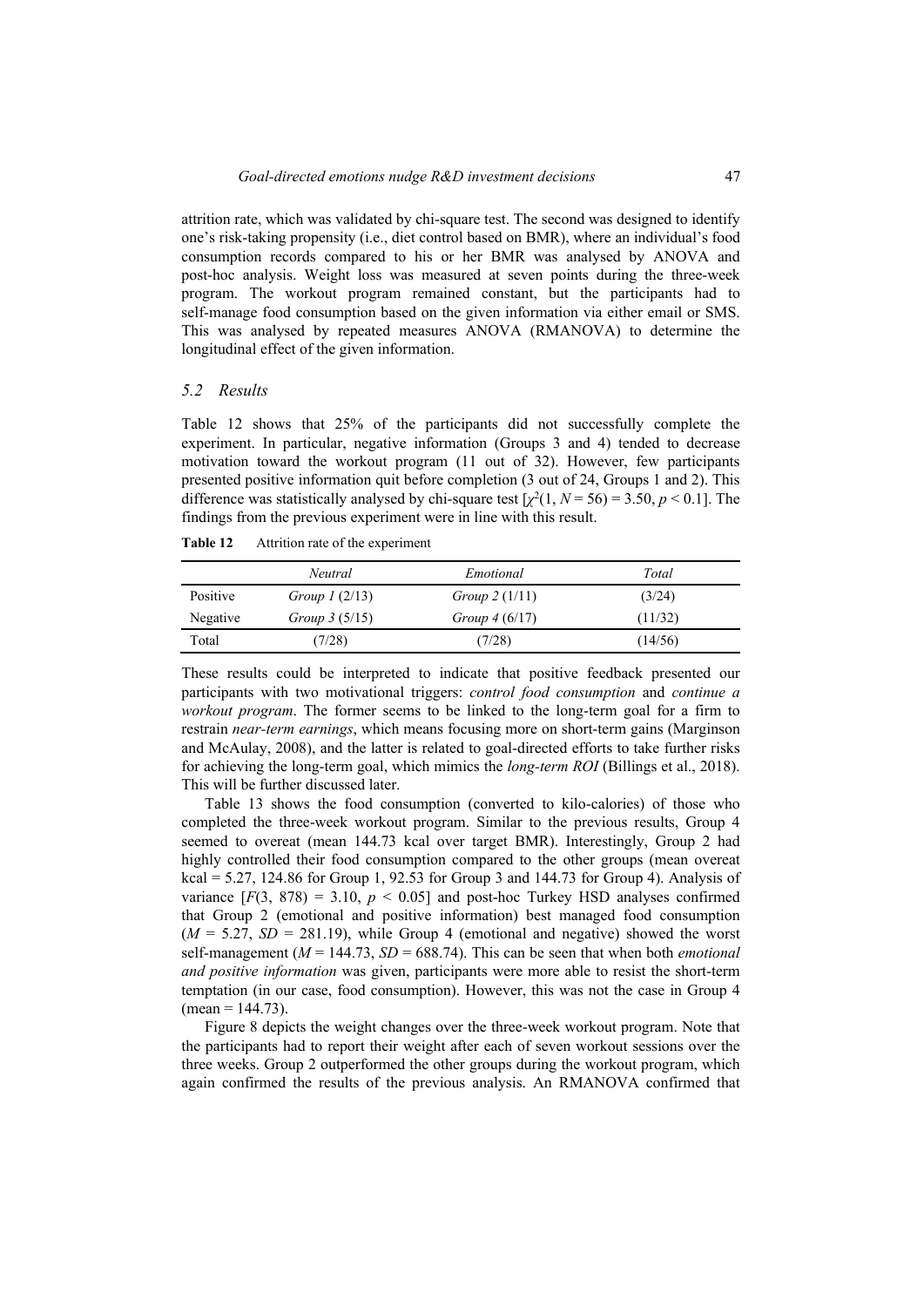attrition rate, which was validated by chi-square test. The second was designed to identify one's risk-taking propensity (i.e., diet control based on BMR), where an individual's food consumption records compared to his or her BMR was analysed by ANOVA and post-hoc analysis. Weight loss was measured at seven points during the three-week program. The workout program remained constant, but the participants had to self-manage food consumption based on the given information via either email or SMS. This was analysed by repeated measures ANOVA (RMANOVA) to determine the longitudinal effect of the given information.

## *5.2 Results*

Table 12 shows that 25% of the participants did not successfully complete the experiment. In particular, negative information (Groups 3 and 4) tended to decrease motivation toward the workout program (11 out of 32). However, few participants presented positive information quit before completion (3 out of 24, Groups 1 and 2). This difference was statistically analysed by chi-square test  $\left[\chi^2(1, N=56) = 3.50, p < 0.1\right]$ . The findings from the previous experiment were in line with this result.

|          | Neutral          | Emotional       | Total   |
|----------|------------------|-----------------|---------|
| Positive | Group 1 $(2/13)$ | Group $2(1/11)$ | (3/24)  |
| Negative | Group $3(5/15)$  | Group $4(6/17)$ | (11/32) |
| Total    | (7/28)           | (7/28)          | (14/56) |

**Table 12** Attrition rate of the experiment

These results could be interpreted to indicate that positive feedback presented our participants with two motivational triggers: *control food consumption* and *continue a workout program*. The former seems to be linked to the long-term goal for a firm to restrain *near-term earnings*, which means focusing more on short-term gains (Marginson and McAulay, 2008), and the latter is related to goal-directed efforts to take further risks for achieving the long-term goal, which mimics the *long-term ROI* (Billings et al., 2018). This will be further discussed later.

Table 13 shows the food consumption (converted to kilo-calories) of those who completed the three-week workout program. Similar to the previous results, Group 4 seemed to overeat (mean 144.73 kcal over target BMR). Interestingly, Group 2 had highly controlled their food consumption compared to the other groups (mean overeat kcal =  $5.27$ , 124.86 for Group 1, 92.53 for Group 3 and 144.73 for Group 4). Analysis of variance  $[F(3, 878) = 3.10, p < 0.05]$  and post-hoc Turkey HSD analyses confirmed that Group 2 (emotional and positive information) best managed food consumption  $(M = 5.27, SD = 281.19)$ , while Group 4 (emotional and negative) showed the worst self-management ( $M = 144.73$ ,  $SD = 688.74$ ). This can be seen that when both *emotional and positive information* was given, participants were more able to resist the short-term temptation (in our case, food consumption). However, this was not the case in Group 4  $(mean = 144.73)$ .

Figure 8 depicts the weight changes over the three-week workout program. Note that the participants had to report their weight after each of seven workout sessions over the three weeks. Group 2 outperformed the other groups during the workout program, which again confirmed the results of the previous analysis. An RMANOVA confirmed that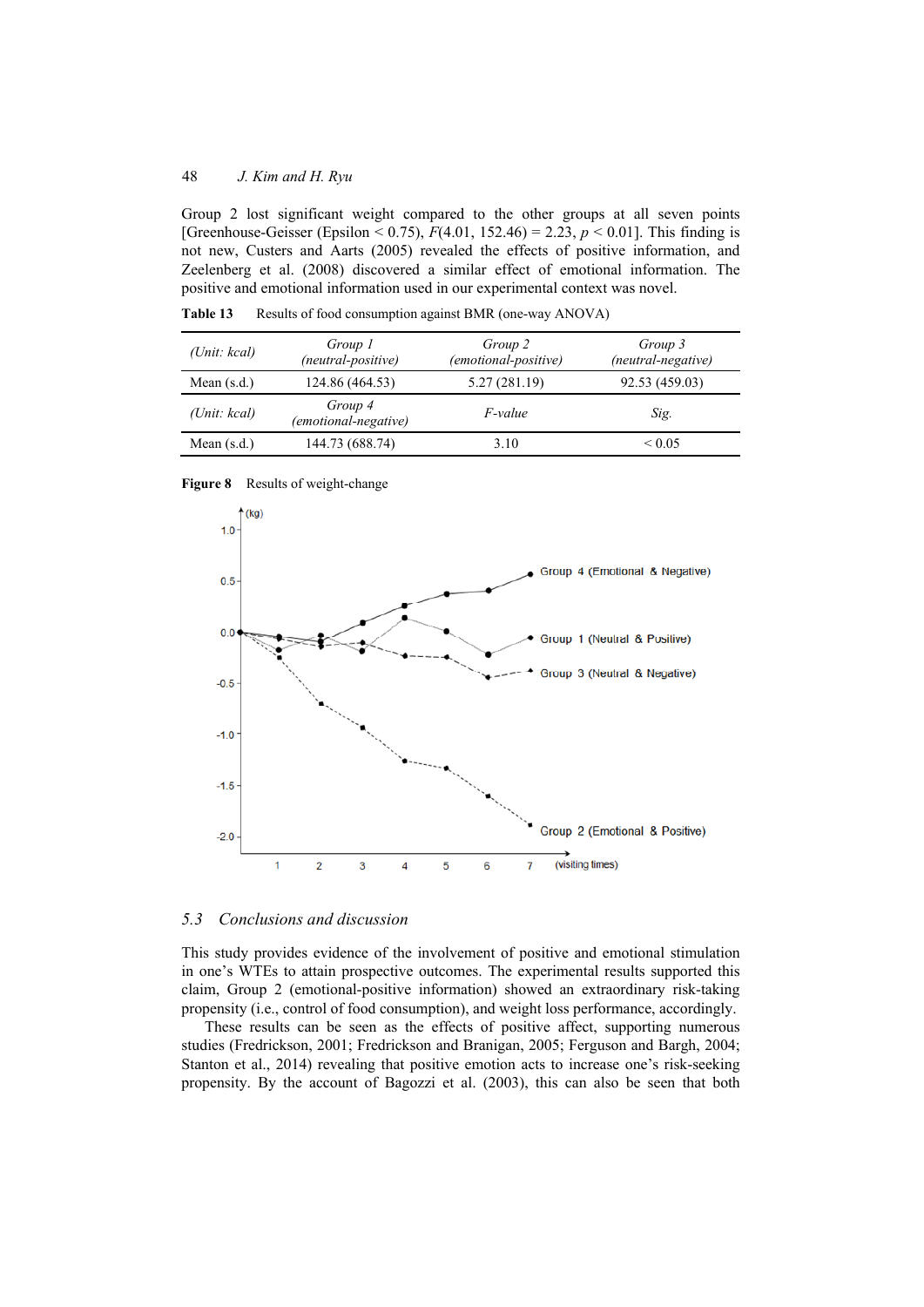Group 2 lost significant weight compared to the other groups at all seven points [Greenhouse-Geisser (Epsilon < 0.75),  $F(4.01, 152.46) = 2.23$ ,  $p < 0.01$ ]. This finding is not new, Custers and Aarts (2005) revealed the effects of positive information, and Zeelenberg et al. (2008) discovered a similar effect of emotional information. The positive and emotional information used in our experimental context was novel.

| (Unit: kcal)  | Group 1<br>(neutral-positive)   | Group 2<br>(emotional-positive) | Group 3<br>(neutral-negative) |
|---------------|---------------------------------|---------------------------------|-------------------------------|
| Mean $(s.d.)$ | 124.86 (464.53)                 | 5.27 (281.19)                   | 92.53 (459.03)                |
| (Unit: kcal)  | Group 4<br>(emotional-negative) | <i>F-value</i>                  | Sig.                          |
| Mean $(s.d.)$ | 144.73 (688.74)                 | 3.10                            | ${}_{\leq 0.05}$              |

**Table 13** Results of food consumption against BMR (one-way ANOVA)

**Figure 8** Results of weight-change



## *5.3 Conclusions and discussion*

This study provides evidence of the involvement of positive and emotional stimulation in one's WTEs to attain prospective outcomes. The experimental results supported this claim, Group 2 (emotional-positive information) showed an extraordinary risk-taking propensity (i.e., control of food consumption), and weight loss performance, accordingly.

These results can be seen as the effects of positive affect, supporting numerous studies (Fredrickson, 2001; Fredrickson and Branigan, 2005; Ferguson and Bargh, 2004; Stanton et al., 2014) revealing that positive emotion acts to increase one's risk-seeking propensity. By the account of Bagozzi et al. (2003), this can also be seen that both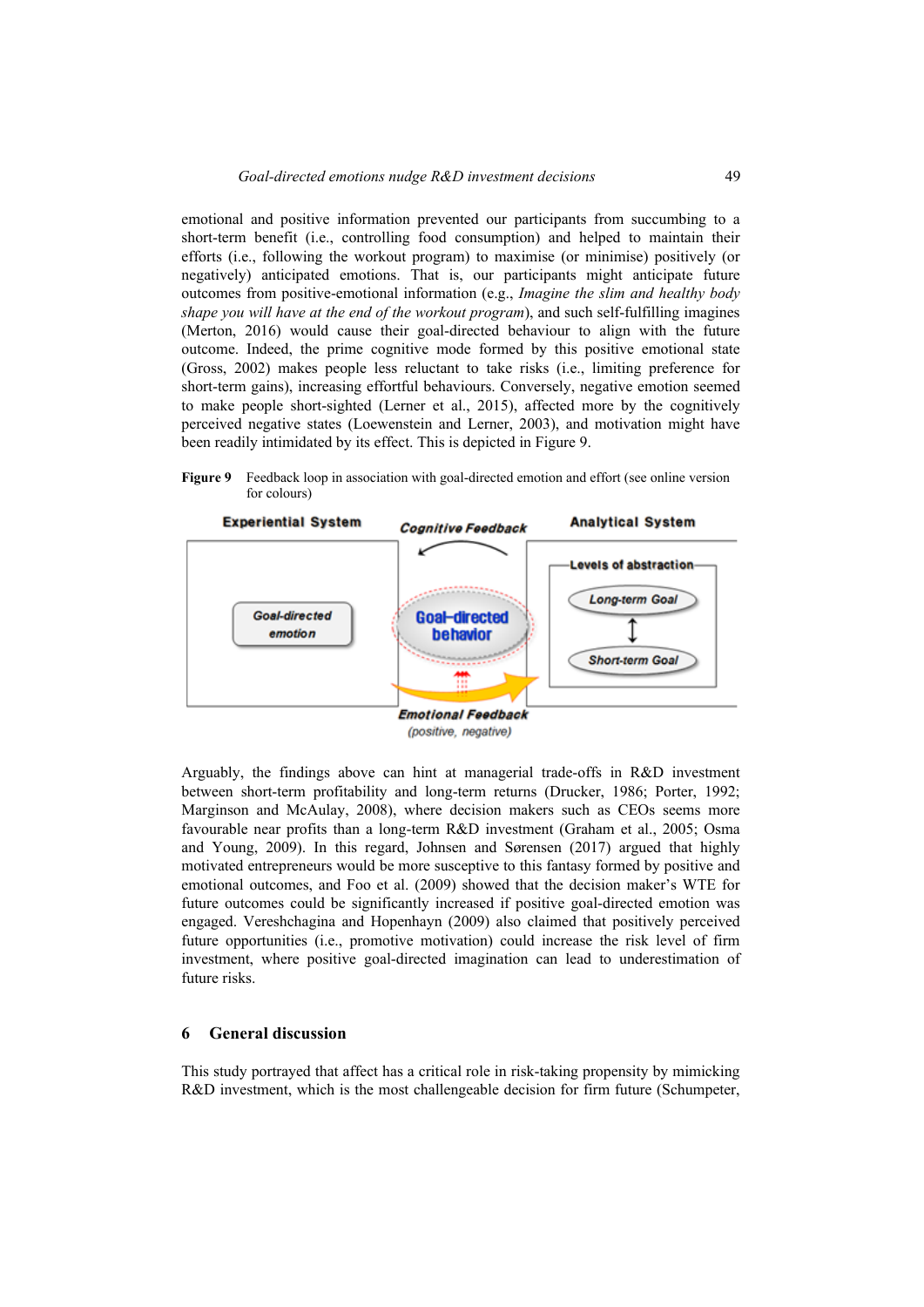emotional and positive information prevented our participants from succumbing to a short-term benefit (i.e., controlling food consumption) and helped to maintain their efforts (i.e., following the workout program) to maximise (or minimise) positively (or negatively) anticipated emotions. That is, our participants might anticipate future outcomes from positive-emotional information (e.g., *Imagine the slim and healthy body shape you will have at the end of the workout program*), and such self-fulfilling imagines (Merton, 2016) would cause their goal-directed behaviour to align with the future outcome. Indeed, the prime cognitive mode formed by this positive emotional state (Gross, 2002) makes people less reluctant to take risks (i.e., limiting preference for short-term gains), increasing effortful behaviours. Conversely, negative emotion seemed to make people short-sighted (Lerner et al., 2015), affected more by the cognitively perceived negative states (Loewenstein and Lerner, 2003), and motivation might have been readily intimidated by its effect. This is depicted in Figure 9.

**Figure 9** Feedback loop in association with goal-directed emotion and effort (see online version for colours)



(positive, negative)

Arguably, the findings above can hint at managerial trade-offs in R&D investment between short-term profitability and long-term returns (Drucker, 1986; Porter, 1992; Marginson and McAulay, 2008), where decision makers such as CEOs seems more favourable near profits than a long-term R&D investment (Graham et al., 2005; Osma and Young, 2009). In this regard, Johnsen and Sørensen (2017) argued that highly motivated entrepreneurs would be more susceptive to this fantasy formed by positive and emotional outcomes, and Foo et al. (2009) showed that the decision maker's WTE for future outcomes could be significantly increased if positive goal-directed emotion was engaged. Vereshchagina and Hopenhayn (2009) also claimed that positively perceived future opportunities (i.e., promotive motivation) could increase the risk level of firm investment, where positive goal-directed imagination can lead to underestimation of future risks.

## **6 General discussion**

This study portrayed that affect has a critical role in risk-taking propensity by mimicking R&D investment, which is the most challengeable decision for firm future (Schumpeter,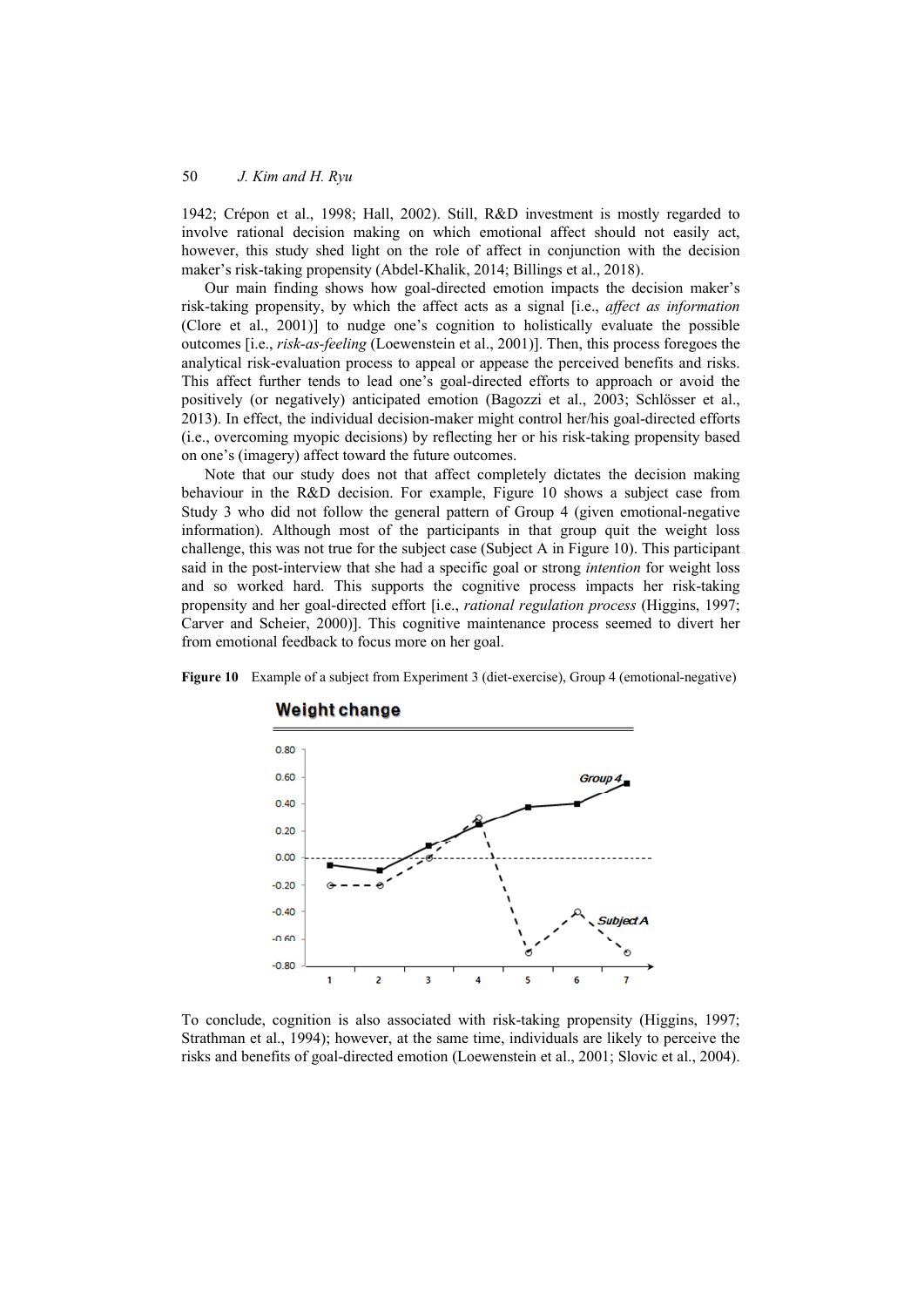1942; Crépon et al., 1998; Hall, 2002). Still, R&D investment is mostly regarded to involve rational decision making on which emotional affect should not easily act, however, this study shed light on the role of affect in conjunction with the decision maker's risk-taking propensity (Abdel-Khalik, 2014; Billings et al., 2018).

Our main finding shows how goal-directed emotion impacts the decision maker's risk-taking propensity, by which the affect acts as a signal [i.e., *affect as information* (Clore et al., 2001)] to nudge one's cognition to holistically evaluate the possible outcomes [i.e., *risk-as-feeling* (Loewenstein et al., 2001)]. Then, this process foregoes the analytical risk-evaluation process to appeal or appease the perceived benefits and risks. This affect further tends to lead one's goal-directed efforts to approach or avoid the positively (or negatively) anticipated emotion (Bagozzi et al., 2003; Schlösser et al., 2013). In effect, the individual decision-maker might control her/his goal-directed efforts (i.e., overcoming myopic decisions) by reflecting her or his risk-taking propensity based on one's (imagery) affect toward the future outcomes.

Note that our study does not that affect completely dictates the decision making behaviour in the R&D decision. For example, Figure 10 shows a subject case from Study 3 who did not follow the general pattern of Group 4 (given emotional-negative information). Although most of the participants in that group quit the weight loss challenge, this was not true for the subject case (Subject A in Figure 10). This participant said in the post-interview that she had a specific goal or strong *intention* for weight loss and so worked hard. This supports the cognitive process impacts her risk-taking propensity and her goal-directed effort [i.e., *rational regulation process* (Higgins, 1997; Carver and Scheier, 2000)]. This cognitive maintenance process seemed to divert her from emotional feedback to focus more on her goal.

**Figure 10** Example of a subject from Experiment 3 (diet-exercise), Group 4 (emotional-negative)



# **Weight change**

To conclude, cognition is also associated with risk-taking propensity (Higgins, 1997; Strathman et al., 1994); however, at the same time, individuals are likely to perceive the risks and benefits of goal-directed emotion (Loewenstein et al., 2001; Slovic et al., 2004).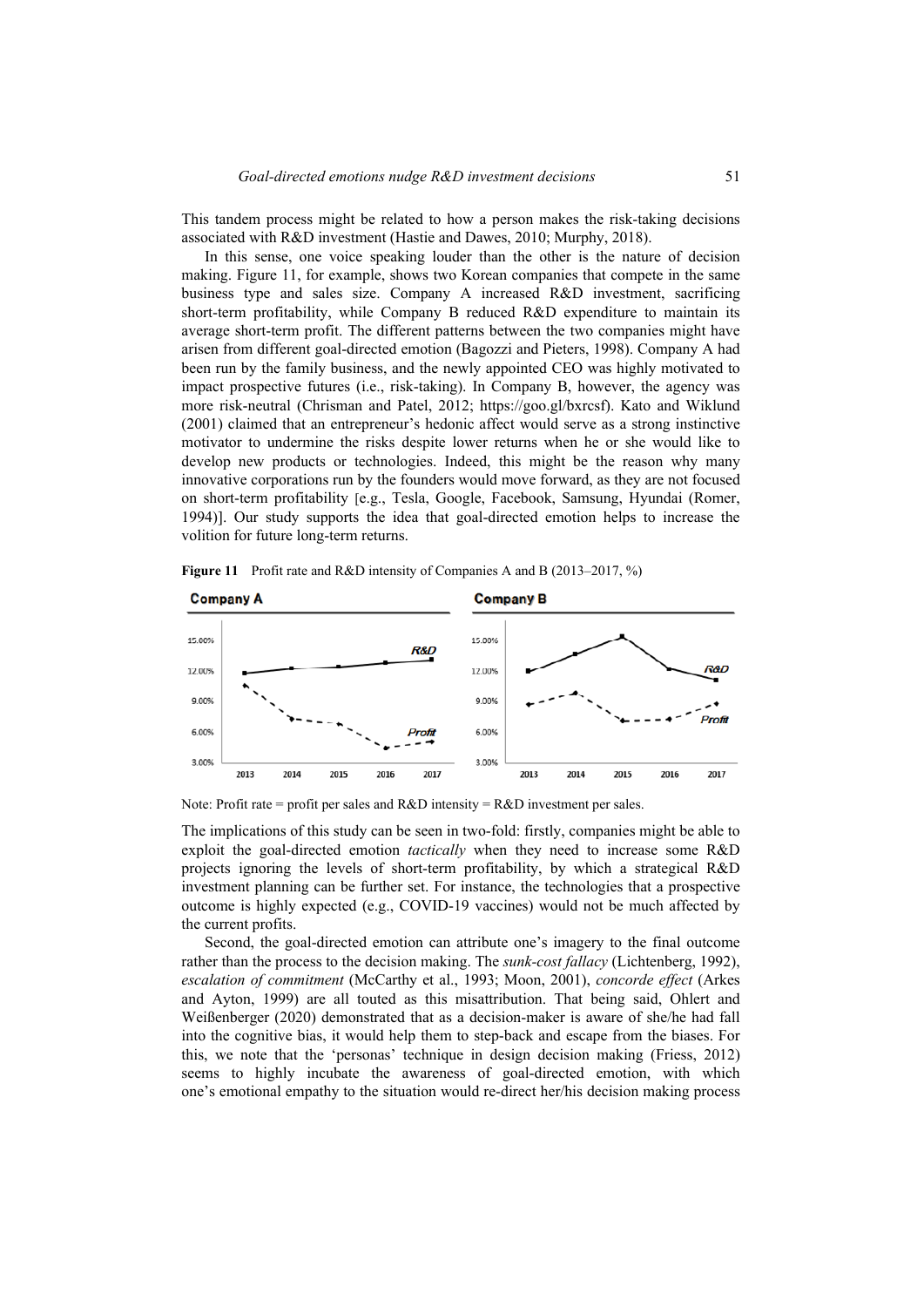This tandem process might be related to how a person makes the risk-taking decisions associated with R&D investment (Hastie and Dawes, 2010; Murphy, 2018).

In this sense, one voice speaking louder than the other is the nature of decision making. Figure 11, for example, shows two Korean companies that compete in the same business type and sales size. Company A increased R&D investment, sacrificing short-term profitability, while Company B reduced R&D expenditure to maintain its average short-term profit. The different patterns between the two companies might have arisen from different goal-directed emotion (Bagozzi and Pieters, 1998). Company A had been run by the family business, and the newly appointed CEO was highly motivated to impact prospective futures (i.e., risk-taking). In Company B, however, the agency was more risk-neutral (Chrisman and Patel, 2012; https://goo.gl/bxrcsf). Kato and Wiklund (2001) claimed that an entrepreneur's hedonic affect would serve as a strong instinctive motivator to undermine the risks despite lower returns when he or she would like to develop new products or technologies. Indeed, this might be the reason why many innovative corporations run by the founders would move forward, as they are not focused on short-term profitability [e.g., Tesla, Google, Facebook, Samsung, Hyundai (Romer, 1994)]. Our study supports the idea that goal-directed emotion helps to increase the volition for future long-term returns.



**Figure 11** Profit rate and R&D intensity of Companies A and B (2013–2017, %)

Note: Profit rate = profit per sales and R&D intensity = R&D investment per sales.

The implications of this study can be seen in two-fold: firstly, companies might be able to exploit the goal-directed emotion *tactically* when they need to increase some R&D projects ignoring the levels of short-term profitability, by which a strategical R&D investment planning can be further set. For instance, the technologies that a prospective outcome is highly expected (e.g., COVID-19 vaccines) would not be much affected by the current profits.

Second, the goal-directed emotion can attribute one's imagery to the final outcome rather than the process to the decision making. The *sunk-cost fallacy* (Lichtenberg, 1992), *escalation of commitment* (McCarthy et al., 1993; Moon, 2001), *concorde effect* (Arkes and Ayton, 1999) are all touted as this misattribution. That being said, Ohlert and Weißenberger (2020) demonstrated that as a decision-maker is aware of she/he had fall into the cognitive bias, it would help them to step-back and escape from the biases. For this, we note that the 'personas' technique in design decision making (Friess, 2012) seems to highly incubate the awareness of goal-directed emotion, with which one's emotional empathy to the situation would re-direct her/his decision making process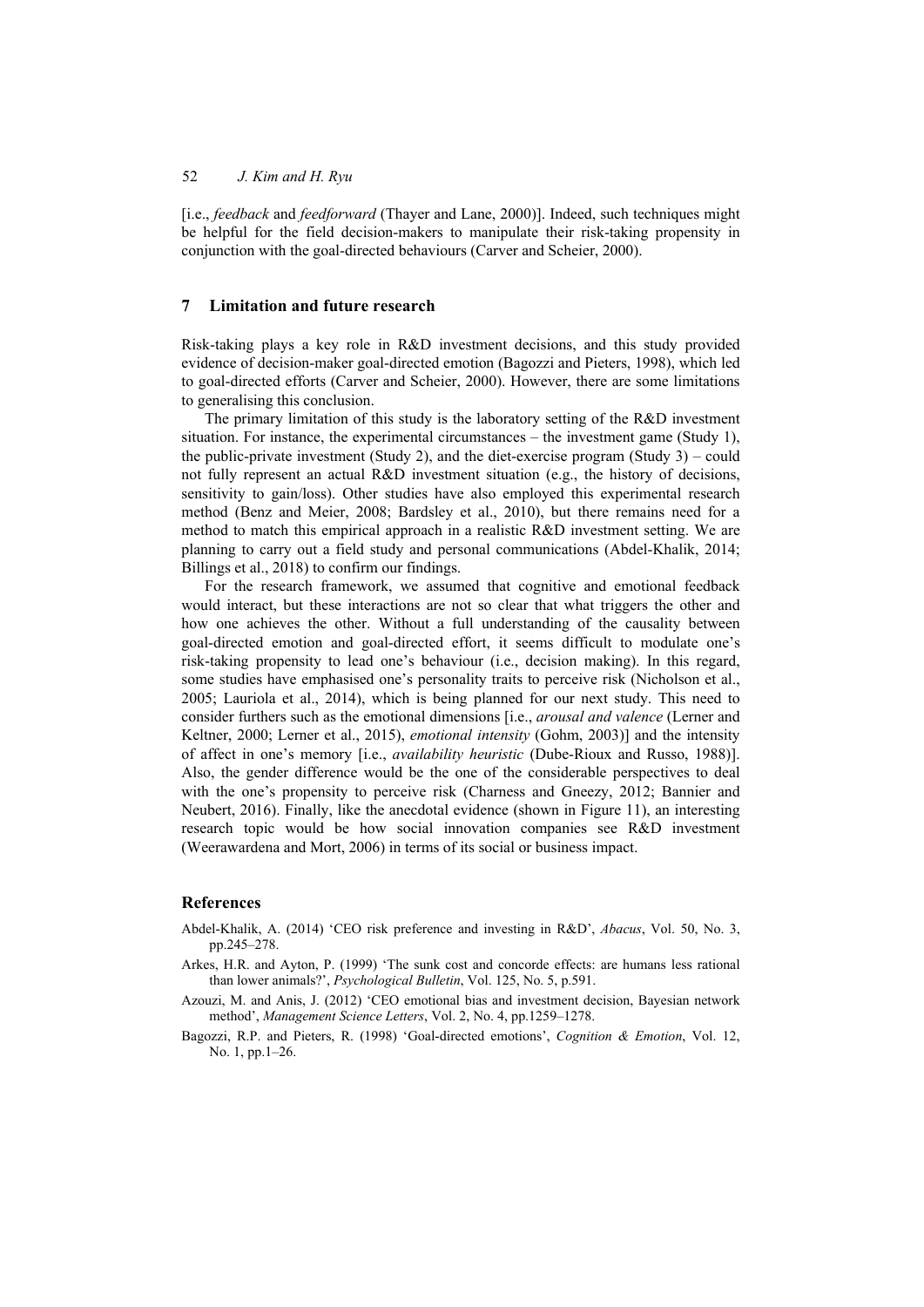[i.e., *feedback* and *feedforward* (Thayer and Lane, 2000)]. Indeed, such techniques might be helpful for the field decision-makers to manipulate their risk-taking propensity in conjunction with the goal-directed behaviours (Carver and Scheier, 2000).

## **7 Limitation and future research**

Risk-taking plays a key role in R&D investment decisions, and this study provided evidence of decision-maker goal-directed emotion (Bagozzi and Pieters, 1998), which led to goal-directed efforts (Carver and Scheier, 2000). However, there are some limitations to generalising this conclusion.

The primary limitation of this study is the laboratory setting of the R&D investment situation. For instance, the experimental circumstances – the investment game (Study 1), the public-private investment (Study 2), and the diet-exercise program (Study 3) – could not fully represent an actual R&D investment situation (e.g., the history of decisions, sensitivity to gain/loss). Other studies have also employed this experimental research method (Benz and Meier, 2008; Bardsley et al., 2010), but there remains need for a method to match this empirical approach in a realistic R&D investment setting. We are planning to carry out a field study and personal communications (Abdel-Khalik, 2014; Billings et al., 2018) to confirm our findings.

For the research framework, we assumed that cognitive and emotional feedback would interact, but these interactions are not so clear that what triggers the other and how one achieves the other. Without a full understanding of the causality between goal-directed emotion and goal-directed effort, it seems difficult to modulate one's risk-taking propensity to lead one's behaviour (i.e., decision making). In this regard, some studies have emphasised one's personality traits to perceive risk (Nicholson et al., 2005; Lauriola et al., 2014), which is being planned for our next study. This need to consider furthers such as the emotional dimensions [i.e., *arousal and valence* (Lerner and Keltner, 2000; Lerner et al., 2015), *emotional intensity* (Gohm, 2003)] and the intensity of affect in one's memory [i.e., *availability heuristic* (Dube-Rioux and Russo, 1988)]. Also, the gender difference would be the one of the considerable perspectives to deal with the one's propensity to perceive risk (Charness and Gneezy, 2012; Bannier and Neubert, 2016). Finally, like the anecdotal evidence (shown in Figure 11), an interesting research topic would be how social innovation companies see R&D investment (Weerawardena and Mort, 2006) in terms of its social or business impact.

# **References**

- Abdel-Khalik, A. (2014) 'CEO risk preference and investing in R&D', *Abacus*, Vol. 50, No. 3, pp.245–278.
- Arkes, H.R. and Ayton, P. (1999) 'The sunk cost and concorde effects: are humans less rational than lower animals?', *Psychological Bulletin*, Vol. 125, No. 5, p.591.
- Azouzi, M. and Anis, J. (2012) 'CEO emotional bias and investment decision, Bayesian network method', *Management Science Letters*, Vol. 2, No. 4, pp.1259–1278.
- Bagozzi, R.P. and Pieters, R. (1998) 'Goal-directed emotions', *Cognition & Emotion*, Vol. 12, No. 1, pp.1–26.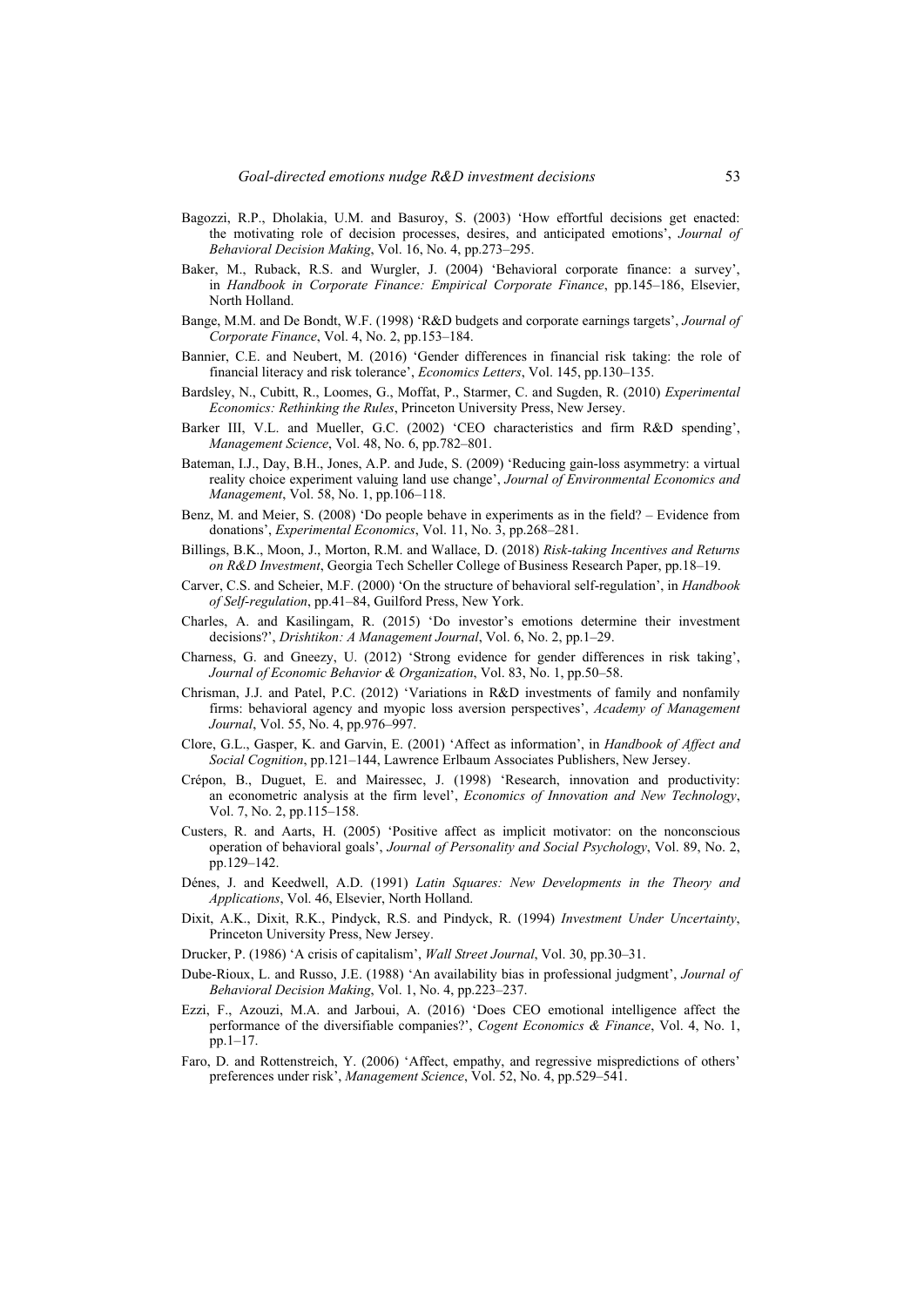- Bagozzi, R.P., Dholakia, U.M. and Basuroy, S. (2003) 'How effortful decisions get enacted: the motivating role of decision processes, desires, and anticipated emotions', *Journal of Behavioral Decision Making*, Vol. 16, No. 4, pp.273–295.
- Baker, M., Ruback, R.S. and Wurgler, J. (2004) 'Behavioral corporate finance: a survey', in *Handbook in Corporate Finance: Empirical Corporate Finance*, pp.145–186, Elsevier, North Holland.
- Bange, M.M. and De Bondt, W.F. (1998) 'R&D budgets and corporate earnings targets', *Journal of Corporate Finance*, Vol. 4, No. 2, pp.153–184.
- Bannier, C.E. and Neubert, M. (2016) 'Gender differences in financial risk taking: the role of financial literacy and risk tolerance', *Economics Letters*, Vol. 145, pp.130–135.
- Bardsley, N., Cubitt, R., Loomes, G., Moffat, P., Starmer, C. and Sugden, R. (2010) *Experimental Economics: Rethinking the Rules*, Princeton University Press, New Jersey.
- Barker III, V.L. and Mueller, G.C. (2002) 'CEO characteristics and firm R&D spending', *Management Science*, Vol. 48, No. 6, pp.782–801.
- Bateman, I.J., Day, B.H., Jones, A.P. and Jude, S. (2009) 'Reducing gain-loss asymmetry: a virtual reality choice experiment valuing land use change', *Journal of Environmental Economics and Management*, Vol. 58, No. 1, pp.106–118.
- Benz, M. and Meier, S. (2008) 'Do people behave in experiments as in the field? Evidence from donations', *Experimental Economics*, Vol. 11, No. 3, pp.268–281.
- Billings, B.K., Moon, J., Morton, R.M. and Wallace, D. (2018) *Risk-taking Incentives and Returns on R&D Investment*, Georgia Tech Scheller College of Business Research Paper, pp.18–19.
- Carver, C.S. and Scheier, M.F. (2000) 'On the structure of behavioral self-regulation', in *Handbook of Self-regulation*, pp.41–84, Guilford Press, New York.
- Charles, A. and Kasilingam, R. (2015) 'Do investor's emotions determine their investment decisions?', *Drishtikon: A Management Journal*, Vol. 6, No. 2, pp.1–29.
- Charness, G. and Gneezy, U. (2012) 'Strong evidence for gender differences in risk taking', *Journal of Economic Behavior & Organization*, Vol. 83, No. 1, pp.50–58.
- Chrisman, J.J. and Patel, P.C. (2012) 'Variations in R&D investments of family and nonfamily firms: behavioral agency and myopic loss aversion perspectives', *Academy of Management Journal*, Vol. 55, No. 4, pp.976–997.
- Clore, G.L., Gasper, K. and Garvin, E. (2001) 'Affect as information', in *Handbook of Affect and Social Cognition*, pp.121–144, Lawrence Erlbaum Associates Publishers, New Jersey.
- Crépon, B., Duguet, E. and Mairessec, J. (1998) 'Research, innovation and productivity: an econometric analysis at the firm level', *Economics of Innovation and New Technology*, Vol. 7, No. 2, pp.115–158.
- Custers, R. and Aarts, H. (2005) 'Positive affect as implicit motivator: on the nonconscious operation of behavioral goals', *Journal of Personality and Social Psychology*, Vol. 89, No. 2, pp.129–142.
- Dénes, J. and Keedwell, A.D. (1991) *Latin Squares: New Developments in the Theory and Applications*, Vol. 46, Elsevier, North Holland.
- Dixit, A.K., Dixit, R.K., Pindyck, R.S. and Pindyck, R. (1994) *Investment Under Uncertainty*, Princeton University Press, New Jersey.
- Drucker, P. (1986) 'A crisis of capitalism', *Wall Street Journal*, Vol. 30, pp.30–31.
- Dube-Rioux, L. and Russo, J.E. (1988) 'An availability bias in professional judgment', *Journal of Behavioral Decision Making*, Vol. 1, No. 4, pp.223–237.
- Ezzi, F., Azouzi, M.A. and Jarboui, A. (2016) 'Does CEO emotional intelligence affect the performance of the diversifiable companies?', *Cogent Economics & Finance*, Vol. 4, No. 1, pp.1–17.
- Faro, D. and Rottenstreich, Y. (2006) 'Affect, empathy, and regressive mispredictions of others' preferences under risk', *Management Science*, Vol. 52, No. 4, pp.529–541.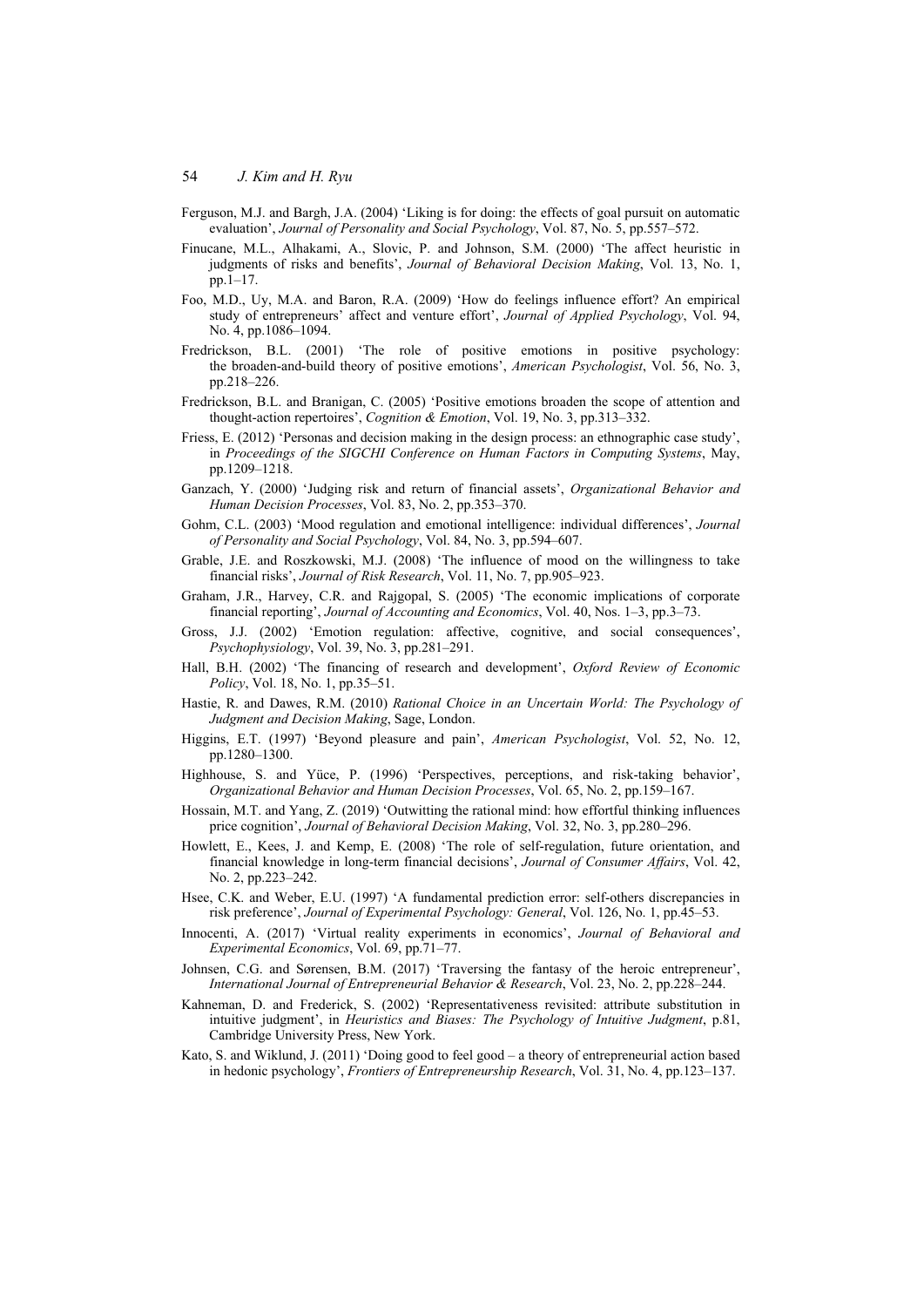- Ferguson, M.J. and Bargh, J.A. (2004) 'Liking is for doing: the effects of goal pursuit on automatic evaluation', *Journal of Personality and Social Psychology*, Vol. 87, No. 5, pp.557–572.
- Finucane, M.L., Alhakami, A., Slovic, P. and Johnson, S.M. (2000) 'The affect heuristic in judgments of risks and benefits', *Journal of Behavioral Decision Making*, Vol. 13, No. 1, pp.1–17.
- Foo, M.D., Uy, M.A. and Baron, R.A. (2009) 'How do feelings influence effort? An empirical study of entrepreneurs' affect and venture effort', *Journal of Applied Psychology*, Vol. 94, No. 4, pp.1086–1094.
- Fredrickson, B.L. (2001) 'The role of positive emotions in positive psychology: the broaden-and-build theory of positive emotions', *American Psychologist*, Vol. 56, No. 3, pp.218–226.
- Fredrickson, B.L. and Branigan, C. (2005) 'Positive emotions broaden the scope of attention and thought-action repertoires', *Cognition & Emotion*, Vol. 19, No. 3, pp.313–332.
- Friess, E. (2012) 'Personas and decision making in the design process: an ethnographic case study', in *Proceedings of the SIGCHI Conference on Human Factors in Computing Systems*, May, pp.1209–1218.
- Ganzach, Y. (2000) 'Judging risk and return of financial assets', *Organizational Behavior and Human Decision Processes*, Vol. 83, No. 2, pp.353–370.
- Gohm, C.L. (2003) 'Mood regulation and emotional intelligence: individual differences', *Journal of Personality and Social Psychology*, Vol. 84, No. 3, pp.594–607.
- Grable, J.E. and Roszkowski, M.J. (2008) 'The influence of mood on the willingness to take financial risks', *Journal of Risk Research*, Vol. 11, No. 7, pp.905–923.
- Graham, J.R., Harvey, C.R. and Rajgopal, S. (2005) 'The economic implications of corporate financial reporting', *Journal of Accounting and Economics*, Vol. 40, Nos. 1–3, pp.3–73.
- Gross, J.J. (2002) 'Emotion regulation: affective, cognitive, and social consequences', *Psychophysiology*, Vol. 39, No. 3, pp.281–291.
- Hall, B.H. (2002) 'The financing of research and development', *Oxford Review of Economic Policy*, Vol. 18, No. 1, pp.35–51.
- Hastie, R. and Dawes, R.M. (2010) *Rational Choice in an Uncertain World: The Psychology of Judgment and Decision Making*, Sage, London.
- Higgins, E.T. (1997) 'Beyond pleasure and pain', *American Psychologist*, Vol. 52, No. 12, pp.1280–1300.
- Highhouse, S. and Yüce, P. (1996) 'Perspectives, perceptions, and risk-taking behavior', *Organizational Behavior and Human Decision Processes*, Vol. 65, No. 2, pp.159–167.
- Hossain, M.T. and Yang, Z. (2019) 'Outwitting the rational mind: how effortful thinking influences price cognition', *Journal of Behavioral Decision Making*, Vol. 32, No. 3, pp.280–296.
- Howlett, E., Kees, J. and Kemp, E. (2008) 'The role of self-regulation, future orientation, and financial knowledge in long-term financial decisions', *Journal of Consumer Affairs*, Vol. 42, No. 2, pp.223–242.
- Hsee, C.K. and Weber, E.U. (1997) 'A fundamental prediction error: self-others discrepancies in risk preference', *Journal of Experimental Psychology: General*, Vol. 126, No. 1, pp.45–53.
- Innocenti, A. (2017) 'Virtual reality experiments in economics', *Journal of Behavioral and Experimental Economics*, Vol. 69, pp.71–77.
- Johnsen, C.G. and Sørensen, B.M. (2017) 'Traversing the fantasy of the heroic entrepreneur', *International Journal of Entrepreneurial Behavior & Research*, Vol. 23, No. 2, pp.228–244.
- Kahneman, D. and Frederick, S. (2002) 'Representativeness revisited: attribute substitution in intuitive judgment', in *Heuristics and Biases: The Psychology of Intuitive Judgment*, p.81, Cambridge University Press, New York.
- Kato, S. and Wiklund, J. (2011) 'Doing good to feel good a theory of entrepreneurial action based in hedonic psychology', *Frontiers of Entrepreneurship Research*, Vol. 31, No. 4, pp.123–137.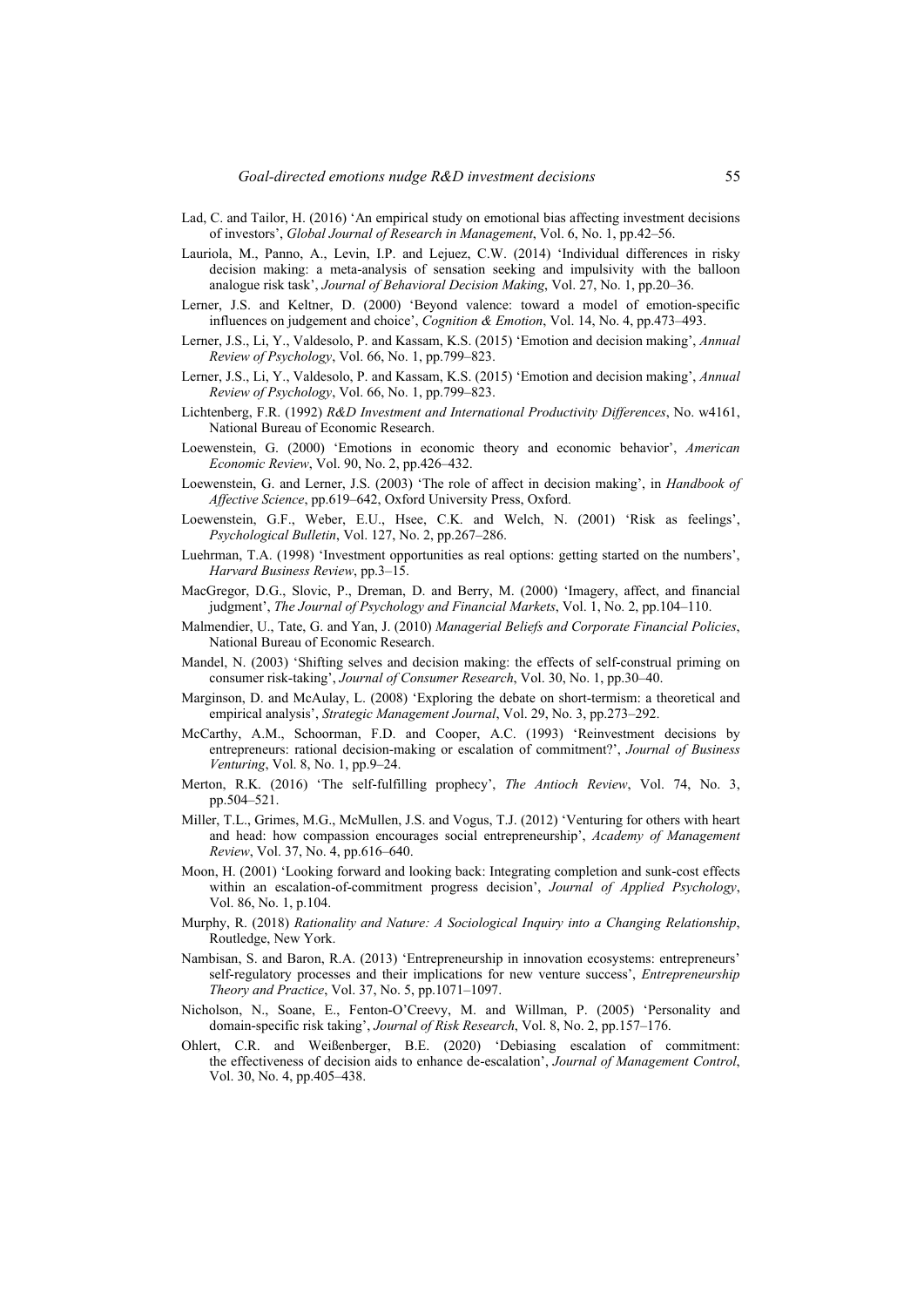- Lad, C. and Tailor, H. (2016) 'An empirical study on emotional bias affecting investment decisions of investors', *Global Journal of Research in Management*, Vol. 6, No. 1, pp.42–56.
- Lauriola, M., Panno, A., Levin, I.P. and Lejuez, C.W. (2014) 'Individual differences in risky decision making: a meta-analysis of sensation seeking and impulsivity with the balloon analogue risk task', *Journal of Behavioral Decision Making*, Vol. 27, No. 1, pp.20–36.
- Lerner, J.S. and Keltner, D. (2000) 'Beyond valence: toward a model of emotion-specific influences on judgement and choice', *Cognition & Emotion*, Vol. 14, No. 4, pp.473–493.
- Lerner, J.S., Li, Y., Valdesolo, P. and Kassam, K.S. (2015) 'Emotion and decision making', *Annual Review of Psychology*, Vol. 66, No. 1, pp.799–823.
- Lerner, J.S., Li, Y., Valdesolo, P. and Kassam, K.S. (2015) 'Emotion and decision making', *Annual Review of Psychology*, Vol. 66, No. 1, pp.799–823.
- Lichtenberg, F.R. (1992) *R&D Investment and International Productivity Differences*, No. w4161, National Bureau of Economic Research.
- Loewenstein, G. (2000) 'Emotions in economic theory and economic behavior', *American Economic Review*, Vol. 90, No. 2, pp.426–432.
- Loewenstein, G. and Lerner, J.S. (2003) 'The role of affect in decision making', in *Handbook of Affective Science*, pp.619–642, Oxford University Press, Oxford.
- Loewenstein, G.F., Weber, E.U., Hsee, C.K. and Welch, N. (2001) 'Risk as feelings', *Psychological Bulletin*, Vol. 127, No. 2, pp.267–286.
- Luehrman, T.A. (1998) 'Investment opportunities as real options: getting started on the numbers', *Harvard Business Review*, pp.3–15.
- MacGregor, D.G., Slovic, P., Dreman, D. and Berry, M. (2000) 'Imagery, affect, and financial judgment', *The Journal of Psychology and Financial Markets*, Vol. 1, No. 2, pp.104–110.
- Malmendier, U., Tate, G. and Yan, J. (2010) *Managerial Beliefs and Corporate Financial Policies*, National Bureau of Economic Research.
- Mandel, N. (2003) 'Shifting selves and decision making: the effects of self-construal priming on consumer risk-taking', *Journal of Consumer Research*, Vol. 30, No. 1, pp.30–40.
- Marginson, D. and McAulay, L. (2008) 'Exploring the debate on short-termism: a theoretical and empirical analysis', *Strategic Management Journal*, Vol. 29, No. 3, pp.273–292.
- McCarthy, A.M., Schoorman, F.D. and Cooper, A.C. (1993) 'Reinvestment decisions by entrepreneurs: rational decision-making or escalation of commitment?', *Journal of Business Venturing*, Vol. 8, No. 1, pp.9–24.
- Merton, R.K. (2016) 'The self-fulfilling prophecy', *The Antioch Review*, Vol. 74, No. 3, pp.504–521.
- Miller, T.L., Grimes, M.G., McMullen, J.S. and Vogus, T.J. (2012) 'Venturing for others with heart and head: how compassion encourages social entrepreneurship', *Academy of Management Review*, Vol. 37, No. 4, pp.616–640.
- Moon, H. (2001) 'Looking forward and looking back: Integrating completion and sunk-cost effects within an escalation-of-commitment progress decision', *Journal of Applied Psychology*, Vol. 86, No. 1, p.104.
- Murphy, R. (2018) *Rationality and Nature: A Sociological Inquiry into a Changing Relationship*, Routledge, New York.
- Nambisan, S. and Baron, R.A. (2013) 'Entrepreneurship in innovation ecosystems: entrepreneurs' self-regulatory processes and their implications for new venture success', *Entrepreneurship Theory and Practice*, Vol. 37, No. 5, pp.1071–1097.
- Nicholson, N., Soane, E., Fenton-O'Creevy, M. and Willman, P. (2005) 'Personality and domain-specific risk taking', *Journal of Risk Research*, Vol. 8, No. 2, pp.157–176.
- Ohlert, C.R. and Weißenberger, B.E. (2020) 'Debiasing escalation of commitment: the effectiveness of decision aids to enhance de-escalation', *Journal of Management Control*, Vol. 30, No. 4, pp.405–438.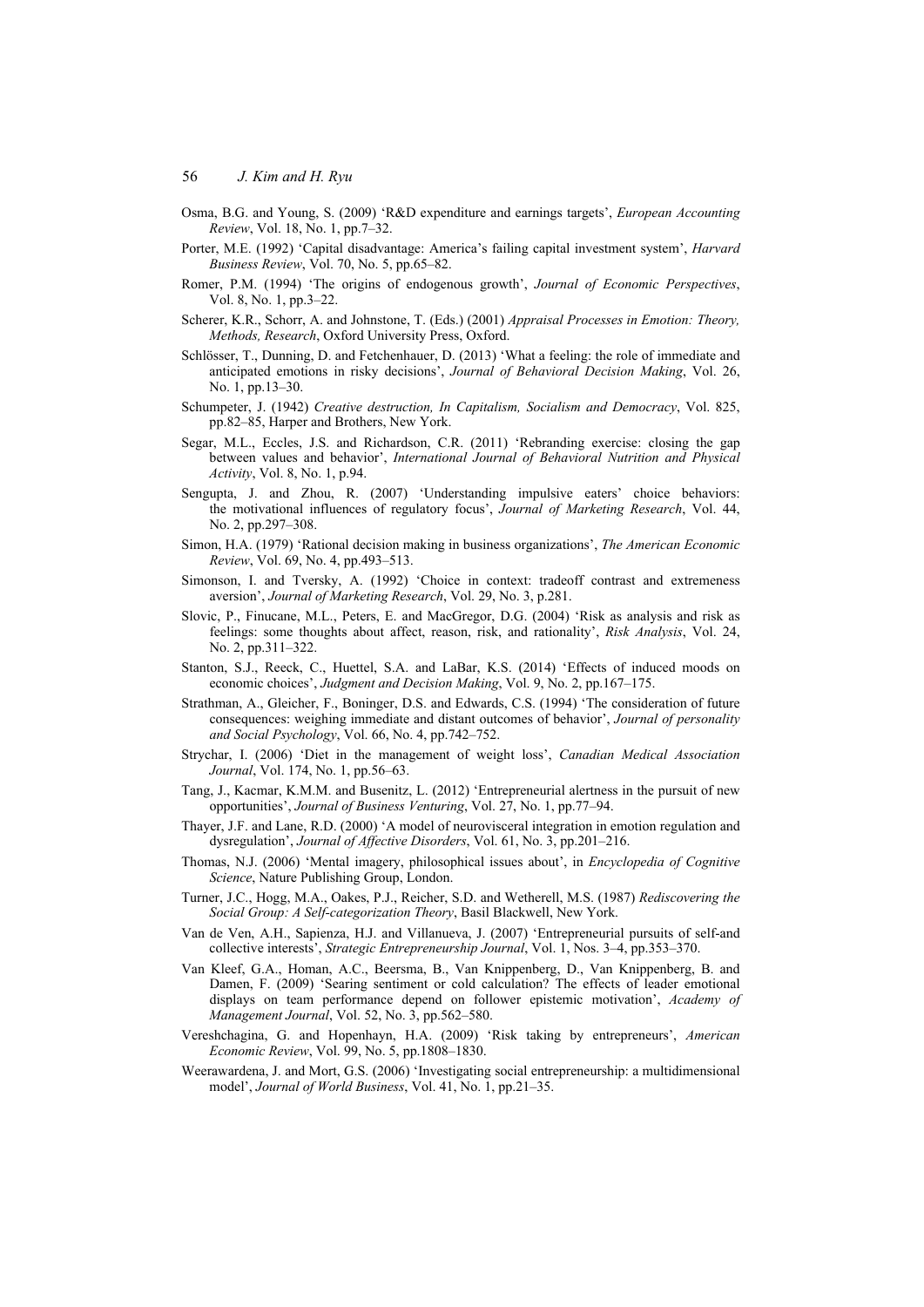- Osma, B.G. and Young, S. (2009) 'R&D expenditure and earnings targets', *European Accounting Review*, Vol. 18, No. 1, pp.7–32.
- Porter, M.E. (1992) 'Capital disadvantage: America's failing capital investment system', *Harvard Business Review*, Vol. 70, No. 5, pp.65–82.
- Romer, P.M. (1994) 'The origins of endogenous growth', *Journal of Economic Perspectives*, Vol. 8, No. 1, pp.3–22.
- Scherer, K.R., Schorr, A. and Johnstone, T. (Eds.) (2001) *Appraisal Processes in Emotion: Theory, Methods, Research*, Oxford University Press, Oxford.
- Schlösser, T., Dunning, D. and Fetchenhauer, D. (2013) 'What a feeling: the role of immediate and anticipated emotions in risky decisions', *Journal of Behavioral Decision Making*, Vol. 26, No. 1, pp.13–30.
- Schumpeter, J. (1942) *Creative destruction, In Capitalism, Socialism and Democracy*, Vol. 825, pp.82–85, Harper and Brothers, New York.
- Segar, M.L., Eccles, J.S. and Richardson, C.R. (2011) 'Rebranding exercise: closing the gap between values and behavior', *International Journal of Behavioral Nutrition and Physical Activity*, Vol. 8, No. 1, p.94.
- Sengupta, J. and Zhou, R. (2007) 'Understanding impulsive eaters' choice behaviors: the motivational influences of regulatory focus', *Journal of Marketing Research*, Vol. 44, No. 2, pp.297–308.
- Simon, H.A. (1979) 'Rational decision making in business organizations', *The American Economic Review*, Vol. 69, No. 4, pp.493–513.
- Simonson, I. and Tversky, A. (1992) 'Choice in context: tradeoff contrast and extremeness aversion', *Journal of Marketing Research*, Vol. 29, No. 3, p.281.
- Slovic, P., Finucane, M.L., Peters, E. and MacGregor, D.G. (2004) 'Risk as analysis and risk as feelings: some thoughts about affect, reason, risk, and rationality', *Risk Analysis*, Vol. 24, No. 2, pp.311–322.
- Stanton, S.J., Reeck, C., Huettel, S.A. and LaBar, K.S. (2014) 'Effects of induced moods on economic choices', *Judgment and Decision Making*, Vol. 9, No. 2, pp.167–175.
- Strathman, A., Gleicher, F., Boninger, D.S. and Edwards, C.S. (1994) 'The consideration of future consequences: weighing immediate and distant outcomes of behavior', *Journal of personality and Social Psychology*, Vol. 66, No. 4, pp.742–752.
- Strychar, I. (2006) 'Diet in the management of weight loss', *Canadian Medical Association Journal*, Vol. 174, No. 1, pp.56–63.
- Tang, J., Kacmar, K.M.M. and Busenitz, L. (2012) 'Entrepreneurial alertness in the pursuit of new opportunities', *Journal of Business Venturing*, Vol. 27, No. 1, pp.77–94.
- Thayer, J.F. and Lane, R.D. (2000) 'A model of neurovisceral integration in emotion regulation and dysregulation', *Journal of Affective Disorders*, Vol. 61, No. 3, pp.201–216.
- Thomas, N.J. (2006) 'Mental imagery, philosophical issues about', in *Encyclopedia of Cognitive Science*, Nature Publishing Group, London.
- Turner, J.C., Hogg, M.A., Oakes, P.J., Reicher, S.D. and Wetherell, M.S. (1987) *Rediscovering the Social Group: A Self-categorization Theory*, Basil Blackwell, New York.
- Van de Ven, A.H., Sapienza, H.J. and Villanueva, J. (2007) 'Entrepreneurial pursuits of self-and collective interests', *Strategic Entrepreneurship Journal*, Vol. 1, Nos. 3–4, pp.353–370.
- Van Kleef, G.A., Homan, A.C., Beersma, B., Van Knippenberg, D., Van Knippenberg, B. and Damen, F. (2009) 'Searing sentiment or cold calculation? The effects of leader emotional displays on team performance depend on follower epistemic motivation', *Academy of Management Journal*, Vol. 52, No. 3, pp.562–580.
- Vereshchagina, G. and Hopenhayn, H.A. (2009) 'Risk taking by entrepreneurs', *American Economic Review*, Vol. 99, No. 5, pp.1808–1830.
- Weerawardena, J. and Mort, G.S. (2006) 'Investigating social entrepreneurship: a multidimensional model', *Journal of World Business*, Vol. 41, No. 1, pp.21–35.